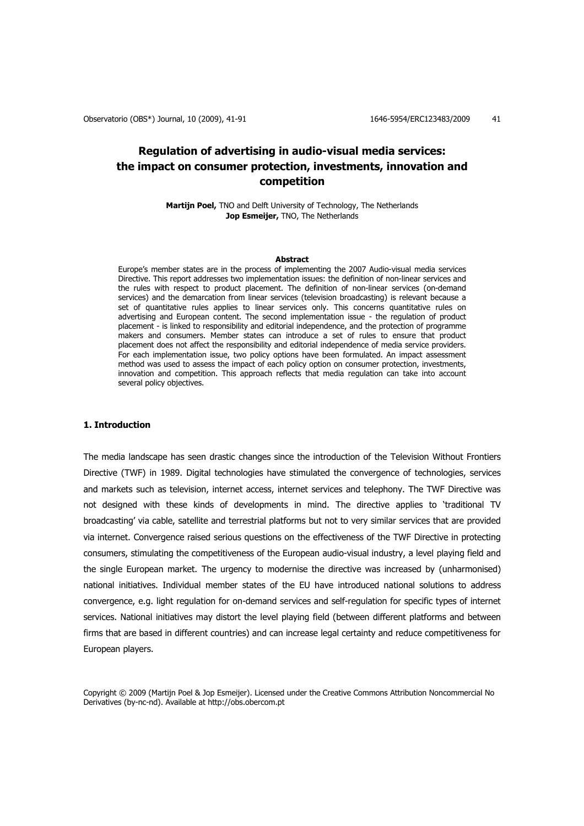# **Regulation of advertising in audio-visual media services: the impact on consumer protection, investments, innovation and competition**

**Martijn Poel,** TNO and Delft University of Technology, The Netherlands **Jop Esmeijer,** TNO, The Netherlands

### **Abstract**

Europe's member states are in the process of implementing the 2007 Audio-visual media services Directive. This report addresses two implementation issues: the definition of non-linear services and the rules with respect to product placement. The definition of non-linear services (on-demand services) and the demarcation from linear services (television broadcasting) is relevant because a set of quantitative rules applies to linear services only. This concerns quantitative rules on advertising and European content. The second implementation issue - the regulation of product placement - is linked to responsibility and editorial independence, and the protection of programme makers and consumers. Member states can introduce a set of rules to ensure that product placement does not affect the responsibility and editorial independence of media service providers. For each implementation issue, two policy options have been formulated. An impact assessment method was used to assess the impact of each policy option on consumer protection, investments, innovation and competition. This approach reflects that media regulation can take into account several policy objectives.

## **1. Introduction**

The media landscape has seen drastic changes since the introduction of the Television Without Frontiers Directive (TWF) in 1989. Digital technologies have stimulated the convergence of technologies, services and markets such as television, internet access, internet services and telephony. The TWF Directive was not designed with these kinds of developments in mind. The directive applies to 'traditional TV broadcasting' via cable, satellite and terrestrial platforms but not to very similar services that are provided via internet. Convergence raised serious questions on the effectiveness of the TWF Directive in protecting consumers, stimulating the competitiveness of the European audio-visual industry, a level playing field and the single European market. The urgency to modernise the directive was increased by (unharmonised) national initiatives. Individual member states of the EU have introduced national solutions to address convergence, e.g. light regulation for on-demand services and self-regulation for specific types of internet services. National initiatives may distort the level playing field (between different platforms and between firms that are based in different countries) and can increase legal certainty and reduce competitiveness for European players.

Copyright © 2009 (Martijn Poel & Jop Esmeijer). Licensed under the Creative Commons Attribution Noncommercial No Derivatives (by-nc-nd). Available at http://obs.obercom.pt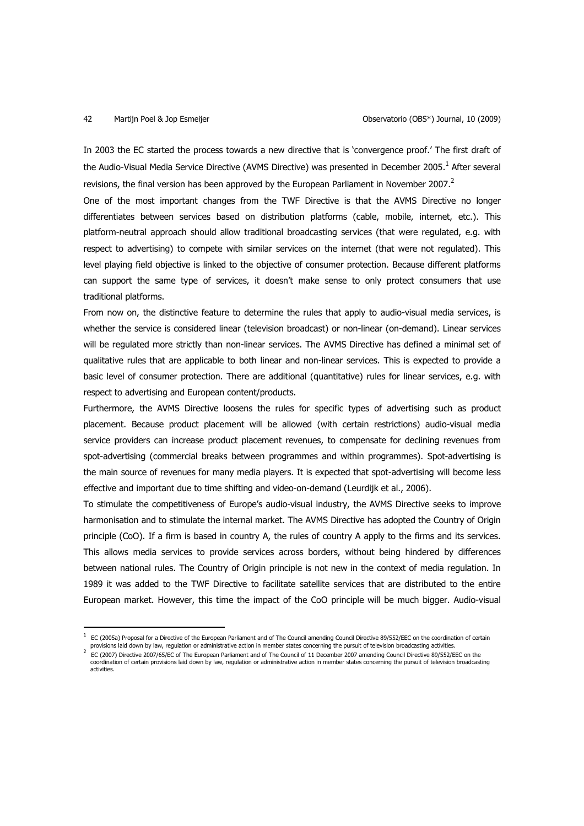$\overline{a}$ 

In 2003 the EC started the process towards a new directive that is 'convergence proof.' The first draft of the Audio-Visual Media Service Directive (AVMS Directive) was presented in December 2005. $^1$  After several revisions, the final version has been approved by the European Parliament in November 2007.<sup>2</sup>

One of the most important changes from the TWF Directive is that the AVMS Directive no longer differentiates between services based on distribution platforms (cable, mobile, internet, etc.). This platform-neutral approach should allow traditional broadcasting services (that were regulated, e.g. with respect to advertising) to compete with similar services on the internet (that were not regulated). This level playing field objective is linked to the objective of consumer protection. Because different platforms can support the same type of services, it doesn't make sense to only protect consumers that use traditional platforms.

From now on, the distinctive feature to determine the rules that apply to audio-visual media services, is whether the service is considered linear (television broadcast) or non-linear (on-demand). Linear services will be regulated more strictly than non-linear services. The AVMS Directive has defined a minimal set of qualitative rules that are applicable to both linear and non-linear services. This is expected to provide a basic level of consumer protection. There are additional (quantitative) rules for linear services, e.g. with respect to advertising and European content/products.

Furthermore, the AVMS Directive loosens the rules for specific types of advertising such as product placement. Because product placement will be allowed (with certain restrictions) audio-visual media service providers can increase product placement revenues, to compensate for declining revenues from spot-advertising (commercial breaks between programmes and within programmes). Spot-advertising is the main source of revenues for many media players. It is expected that spot-advertising will become less effective and important due to time shifting and video-on-demand (Leurdijk et al., 2006).

To stimulate the competitiveness of Europe's audio-visual industry, the AVMS Directive seeks to improve harmonisation and to stimulate the internal market. The AVMS Directive has adopted the Country of Origin principle (CoO). If a firm is based in country A, the rules of country A apply to the firms and its services. This allows media services to provide services across borders, without being hindered by differences between national rules. The Country of Origin principle is not new in the context of media regulation. In 1989 it was added to the TWF Directive to facilitate satellite services that are distributed to the entire European market. However, this time the impact of the CoO principle will be much bigger. Audio-visual

<sup>1</sup> EC (2005a) Proposal for a Directive of the European Parliament and of The Council amending Council Directive 89/552/EEC on the coordination of certain

provisions laid down by law, regulation or administrative action in member states concerning the pursuit of television broadcasting activities. 2 EC (2007) Directive 2007/65/EC of The European Parliament and of The Council of 11 December 2007 amending Council Directive 89/552/EEC on the coordination of certain provisions laid down by law, regulation or administrative action in member states concerning the pursuit of television broadcasting activities.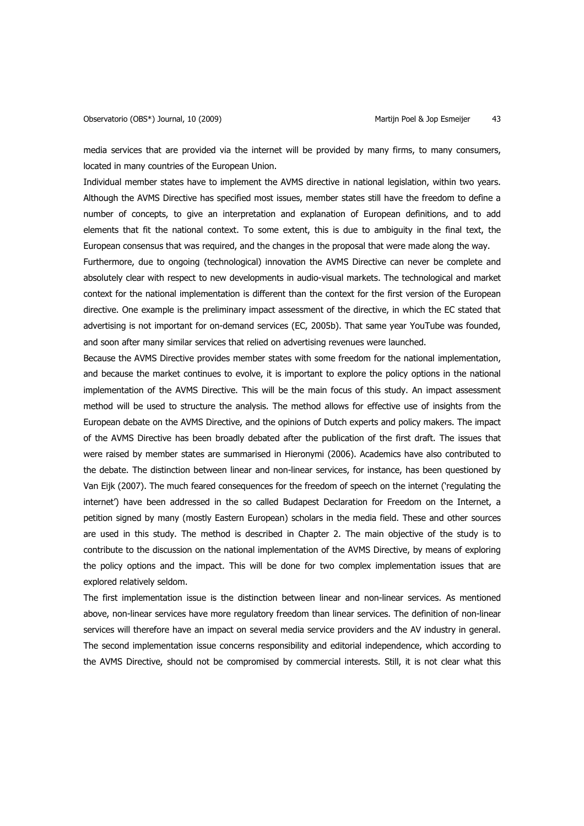media services that are provided via the internet will be provided by many firms, to many consumers, located in many countries of the European Union.

Individual member states have to implement the AVMS directive in national legislation, within two years. Although the AVMS Directive has specified most issues, member states still have the freedom to define a number of concepts, to give an interpretation and explanation of European definitions, and to add elements that fit the national context. To some extent, this is due to ambiguity in the final text, the European consensus that was required, and the changes in the proposal that were made along the way.

Furthermore, due to ongoing (technological) innovation the AVMS Directive can never be complete and absolutely clear with respect to new developments in audio-visual markets. The technological and market context for the national implementation is different than the context for the first version of the European directive. One example is the preliminary impact assessment of the directive, in which the EC stated that advertising is not important for on-demand services (EC, 2005b). That same year YouTube was founded, and soon after many similar services that relied on advertising revenues were launched.

Because the AVMS Directive provides member states with some freedom for the national implementation, and because the market continues to evolve, it is important to explore the policy options in the national implementation of the AVMS Directive. This will be the main focus of this study. An impact assessment method will be used to structure the analysis. The method allows for effective use of insights from the European debate on the AVMS Directive, and the opinions of Dutch experts and policy makers. The impact of the AVMS Directive has been broadly debated after the publication of the first draft. The issues that were raised by member states are summarised in Hieronymi (2006). Academics have also contributed to the debate. The distinction between linear and non-linear services, for instance, has been questioned by Van Eijk (2007). The much feared consequences for the freedom of speech on the internet ('regulating the internet') have been addressed in the so called Budapest Declaration for Freedom on the Internet, a petition signed by many (mostly Eastern European) scholars in the media field. These and other sources are used in this study. The method is described in Chapter 2. The main objective of the study is to contribute to the discussion on the national implementation of the AVMS Directive, by means of exploring the policy options and the impact. This will be done for two complex implementation issues that are explored relatively seldom.

The first implementation issue is the distinction between linear and non-linear services. As mentioned above, non-linear services have more regulatory freedom than linear services. The definition of non-linear services will therefore have an impact on several media service providers and the AV industry in general. The second implementation issue concerns responsibility and editorial independence, which according to the AVMS Directive, should not be compromised by commercial interests. Still, it is not clear what this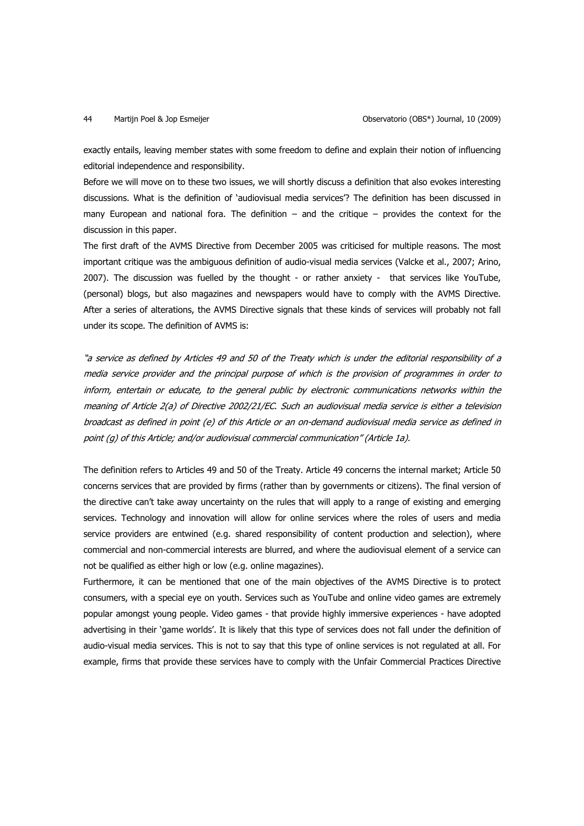exactly entails, leaving member states with some freedom to define and explain their notion of influencing editorial independence and responsibility.

Before we will move on to these two issues, we will shortly discuss a definition that also evokes interesting discussions. What is the definition of 'audiovisual media services'? The definition has been discussed in many European and national fora. The definition – and the critique – provides the context for the discussion in this paper.

The first draft of the AVMS Directive from December 2005 was criticised for multiple reasons. The most important critique was the ambiguous definition of audio-visual media services (Valcke et al., 2007; Arino, 2007). The discussion was fuelled by the thought - or rather anxiety - that services like YouTube, (personal) blogs, but also magazines and newspapers would have to comply with the AVMS Directive. After a series of alterations, the AVMS Directive signals that these kinds of services will probably not fall under its scope. The definition of AVMS is:

"a service as defined by Articles 49 and 50 of the Treaty which is under the editorial responsibility of a media service provider and the principal purpose of which is the provision of programmes in order to inform, entertain or educate, to the general public by electronic communications networks within the meaning of Article 2(a) of Directive 2002/21/EC. Such an audiovisual media service is either a television broadcast as defined in point (e) of this Article or an on-demand audiovisual media service as defined in point (g) of this Article; and/or audiovisual commercial communication" (Article 1a).

The definition refers to Articles 49 and 50 of the Treaty. Article 49 concerns the internal market; Article 50 concerns services that are provided by firms (rather than by governments or citizens). The final version of the directive can't take away uncertainty on the rules that will apply to a range of existing and emerging services. Technology and innovation will allow for online services where the roles of users and media service providers are entwined (e.g. shared responsibility of content production and selection), where commercial and non-commercial interests are blurred, and where the audiovisual element of a service can not be qualified as either high or low (e.g. online magazines).

Furthermore, it can be mentioned that one of the main objectives of the AVMS Directive is to protect consumers, with a special eye on youth. Services such as YouTube and online video games are extremely popular amongst young people. Video games - that provide highly immersive experiences - have adopted advertising in their 'game worlds'. It is likely that this type of services does not fall under the definition of audio-visual media services. This is not to say that this type of online services is not regulated at all. For example, firms that provide these services have to comply with the Unfair Commercial Practices Directive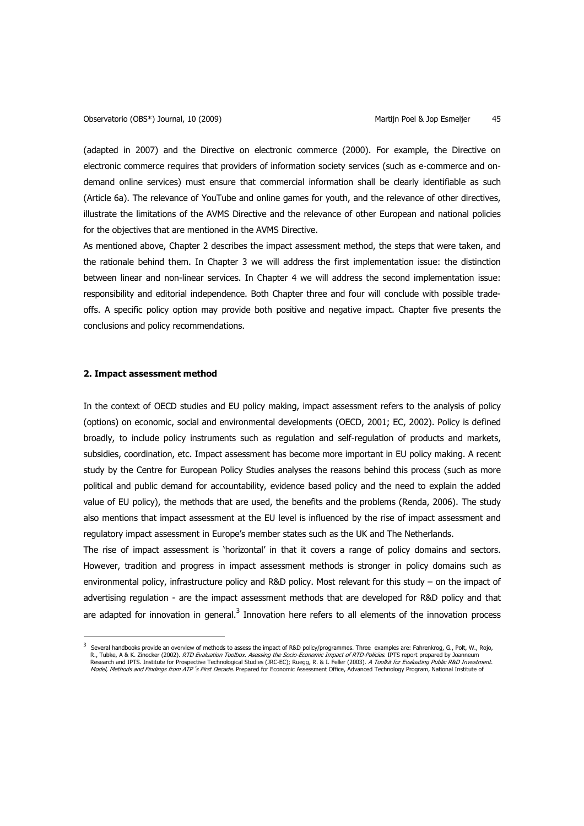(adapted in 2007) and the Directive on electronic commerce (2000). For example, the Directive on electronic commerce requires that providers of information society services (such as e-commerce and ondemand online services) must ensure that commercial information shall be clearly identifiable as such (Article 6a). The relevance of YouTube and online games for youth, and the relevance of other directives, illustrate the limitations of the AVMS Directive and the relevance of other European and national policies for the objectives that are mentioned in the AVMS Directive.

As mentioned above, Chapter 2 describes the impact assessment method, the steps that were taken, and the rationale behind them. In Chapter 3 we will address the first implementation issue: the distinction between linear and non-linear services. In Chapter 4 we will address the second implementation issue: responsibility and editorial independence. Both Chapter three and four will conclude with possible tradeoffs. A specific policy option may provide both positive and negative impact. Chapter five presents the conclusions and policy recommendations.

### **2. Impact assessment method**

 $\overline{a}$ 

In the context of OECD studies and EU policy making, impact assessment refers to the analysis of policy (options) on economic, social and environmental developments (OECD, 2001; EC, 2002). Policy is defined broadly, to include policy instruments such as regulation and self-regulation of products and markets, subsidies, coordination, etc. Impact assessment has become more important in EU policy making. A recent study by the Centre for European Policy Studies analyses the reasons behind this process (such as more political and public demand for accountability, evidence based policy and the need to explain the added value of EU policy), the methods that are used, the benefits and the problems (Renda, 2006). The study also mentions that impact assessment at the EU level is influenced by the rise of impact assessment and regulatory impact assessment in Europe's member states such as the UK and The Netherlands.

The rise of impact assessment is 'horizontal' in that it covers a range of policy domains and sectors. However, tradition and progress in impact assessment methods is stronger in policy domains such as environmental policy, infrastructure policy and R&D policy. Most relevant for this study – on the impact of advertising regulation - are the impact assessment methods that are developed for R&D policy and that are adapted for innovation in general. $3$  Innovation here refers to all elements of the innovation process

<sup>3</sup> Several handbooks provide an overview of methods to assess the impact of R&D policy/programmes. Three examples are: Fahrenkrog, G., Polt, W., Rojo, R., Tubke, A & K. Zinocker (2002). RTD Evaluation Toolbox. Asessing the Socio-Economic Impact of RTD-Policies. IPTS report prepared by Joanneum Research and IPTS. Institute for Prospective Technological Studies (JRC-EC); Ruegg, R. & I. Feller (2003). *A Toolkit for Evaluating Public R&D Investment.*<br>*Model, Methods and Findings from ATP´s First Decade*. Prepared f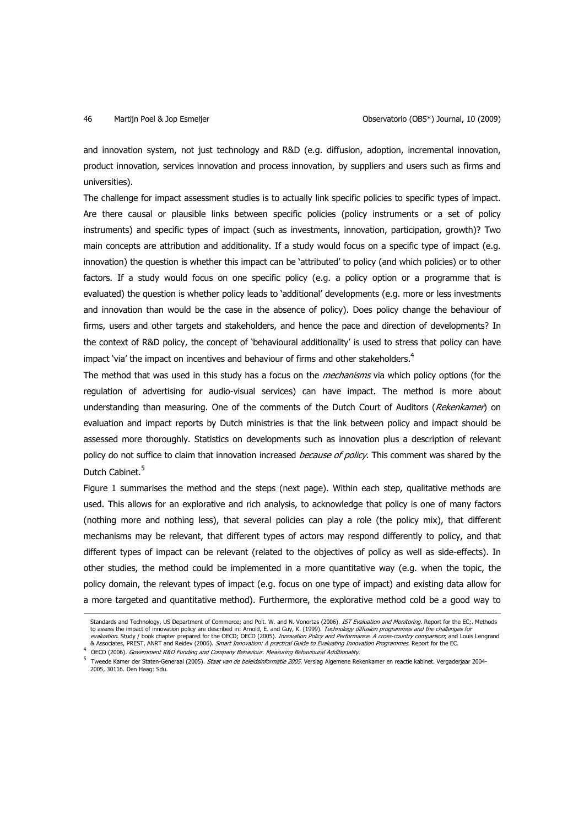and innovation system, not just technology and R&D (e.g. diffusion, adoption, incremental innovation, product innovation, services innovation and process innovation, by suppliers and users such as firms and universities).

The challenge for impact assessment studies is to actually link specific policies to specific types of impact. Are there causal or plausible links between specific policies (policy instruments or a set of policy instruments) and specific types of impact (such as investments, innovation, participation, growth)? Two main concepts are attribution and additionality. If a study would focus on a specific type of impact (e.g. innovation) the question is whether this impact can be 'attributed' to policy (and which policies) or to other factors. If a study would focus on one specific policy (e.g. a policy option or a programme that is evaluated) the question is whether policy leads to 'additional' developments (e.g. more or less investments and innovation than would be the case in the absence of policy). Does policy change the behaviour of firms, users and other targets and stakeholders, and hence the pace and direction of developments? In the context of R&D policy, the concept of 'behavioural additionality' is used to stress that policy can have impact 'via' the impact on incentives and behaviour of firms and other stakeholders.<sup>4</sup>

The method that was used in this study has a focus on the *mechanisms* via which policy options (for the regulation of advertising for audio-visual services) can have impact. The method is more about understanding than measuring. One of the comments of the Dutch Court of Auditors (Rekenkamer) on evaluation and impact reports by Dutch ministries is that the link between policy and impact should be assessed more thoroughly. Statistics on developments such as innovation plus a description of relevant policy do not suffice to claim that innovation increased because of policy. This comment was shared by the Dutch Cabinet.<sup>5</sup>

Figure 1 summarises the method and the steps (next page). Within each step, qualitative methods are used. This allows for an explorative and rich analysis, to acknowledge that policy is one of many factors (nothing more and nothing less), that several policies can play a role (the policy mix), that different mechanisms may be relevant, that different types of actors may respond differently to policy, and that different types of impact can be relevant (related to the objectives of policy as well as side-effects). In other studies, the method could be implemented in a more quantitative way (e.g. when the topic, the policy domain, the relevant types of impact (e.g. focus on one type of impact) and existing data allow for a more targeted and quantitative method). Furthermore, the explorative method cold be a good way to  $\overline{a}$ 

Standards and Technology, US Department of Commerce; and Polt. W. and N. Vonortas (2006). IST Evaluation and Monitoring. Report for the EC;. Methods to assess the impact of innovation policy are described in: Arnold, E. and Guy, K. (1999). *Technology diffusion programmes and the challenges for*<br>*evaluation.* Study / book chapter prepared for the OECD; OECD (2005). *In* & Associates, PREST, ANRT and Reidev (2006). Smart Innovation: A practical Guide to Evaluating Innovation Programmes. Report for the EC.

<sup>4</sup> OECD (2006). Government R&D Funding and Company Behaviour. Measuring Behavioural Additionality.

<sup>5</sup> Tweede Kamer der Staten-Generaal (2005). Staat van de beleidsinformatie 2005. Verslag Algemene Rekenkamer en reactie kabinet. Vergaderjaar 2004- 2005, 30116. Den Haag: Sdu.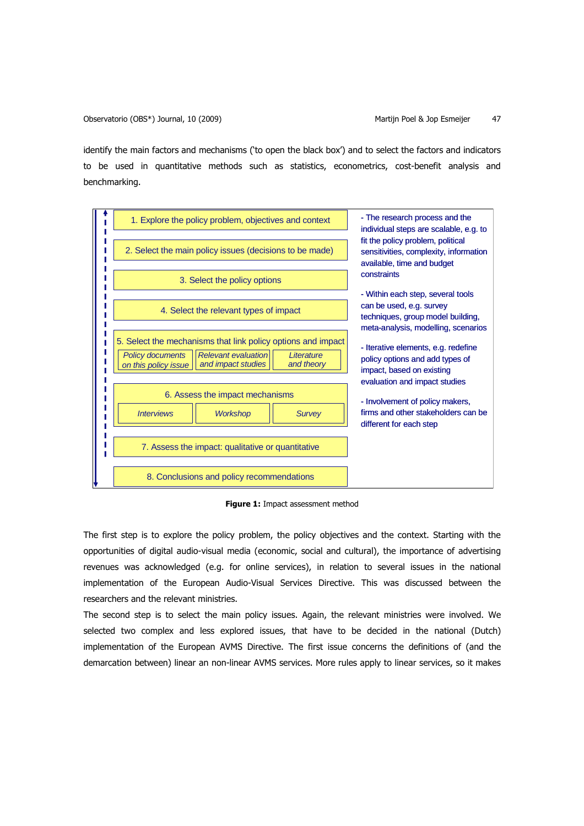identify the main factors and mechanisms ('to open the black box') and to select the factors and indicators to be used in quantitative methods such as statistics, econometrics, cost-benefit analysis and benchmarking.



**Figure 1:** Impact assessment method

The first step is to explore the policy problem, the policy objectives and the context. Starting with the opportunities of digital audio-visual media (economic, social and cultural), the importance of advertising revenues was acknowledged (e.g. for online services), in relation to several issues in the national implementation of the European Audio-Visual Services Directive. This was discussed between the researchers and the relevant ministries.

The second step is to select the main policy issues. Again, the relevant ministries were involved. We selected two complex and less explored issues, that have to be decided in the national (Dutch) implementation of the European AVMS Directive. The first issue concerns the definitions of (and the demarcation between) linear an non-linear AVMS services. More rules apply to linear services, so it makes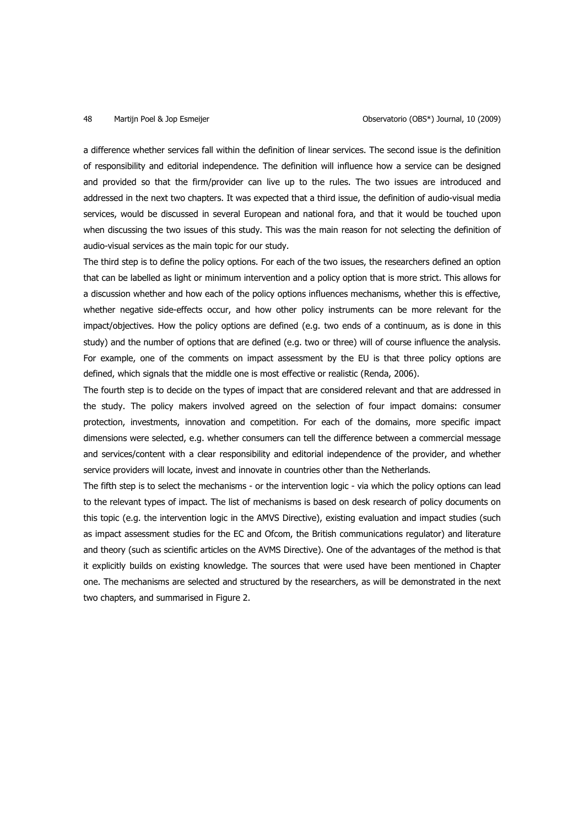a difference whether services fall within the definition of linear services. The second issue is the definition of responsibility and editorial independence. The definition will influence how a service can be designed and provided so that the firm/provider can live up to the rules. The two issues are introduced and addressed in the next two chapters. It was expected that a third issue, the definition of audio-visual media services, would be discussed in several European and national fora, and that it would be touched upon when discussing the two issues of this study. This was the main reason for not selecting the definition of audio-visual services as the main topic for our study.

The third step is to define the policy options. For each of the two issues, the researchers defined an option that can be labelled as light or minimum intervention and a policy option that is more strict. This allows for a discussion whether and how each of the policy options influences mechanisms, whether this is effective, whether negative side-effects occur, and how other policy instruments can be more relevant for the impact/objectives. How the policy options are defined (e.g. two ends of a continuum, as is done in this study) and the number of options that are defined (e.g. two or three) will of course influence the analysis. For example, one of the comments on impact assessment by the EU is that three policy options are defined, which signals that the middle one is most effective or realistic (Renda, 2006).

The fourth step is to decide on the types of impact that are considered relevant and that are addressed in the study. The policy makers involved agreed on the selection of four impact domains: consumer protection, investments, innovation and competition. For each of the domains, more specific impact dimensions were selected, e.g. whether consumers can tell the difference between a commercial message and services/content with a clear responsibility and editorial independence of the provider, and whether service providers will locate, invest and innovate in countries other than the Netherlands.

The fifth step is to select the mechanisms - or the intervention logic - via which the policy options can lead to the relevant types of impact. The list of mechanisms is based on desk research of policy documents on this topic (e.g. the intervention logic in the AMVS Directive), existing evaluation and impact studies (such as impact assessment studies for the EC and Ofcom, the British communications regulator) and literature and theory (such as scientific articles on the AVMS Directive). One of the advantages of the method is that it explicitly builds on existing knowledge. The sources that were used have been mentioned in Chapter one. The mechanisms are selected and structured by the researchers, as will be demonstrated in the next two chapters, and summarised in Figure 2.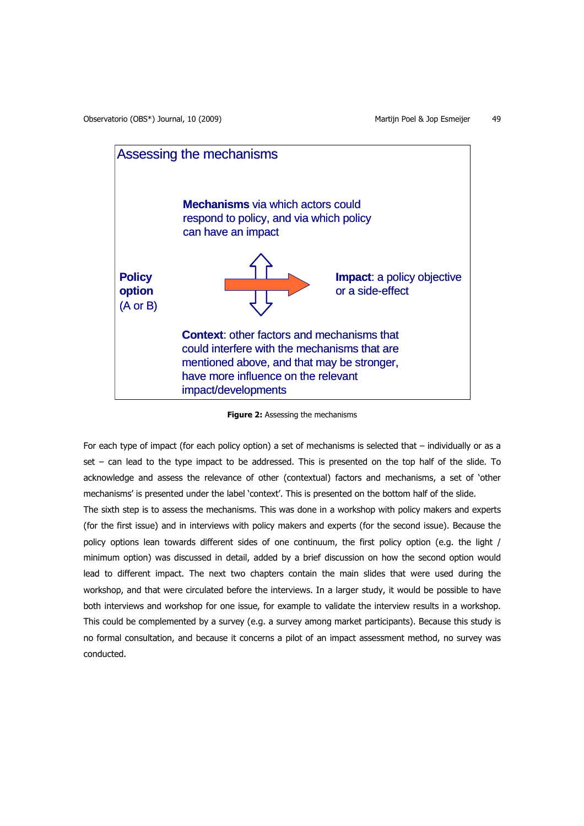

**Figure 2:** Assessing the mechanisms

For each type of impact (for each policy option) a set of mechanisms is selected that – individually or as a set – can lead to the type impact to be addressed. This is presented on the top half of the slide. To acknowledge and assess the relevance of other (contextual) factors and mechanisms, a set of 'other mechanisms' is presented under the label 'context'. This is presented on the bottom half of the slide.

The sixth step is to assess the mechanisms. This was done in a workshop with policy makers and experts (for the first issue) and in interviews with policy makers and experts (for the second issue). Because the policy options lean towards different sides of one continuum, the first policy option (e.g. the light / minimum option) was discussed in detail, added by a brief discussion on how the second option would lead to different impact. The next two chapters contain the main slides that were used during the workshop, and that were circulated before the interviews. In a larger study, it would be possible to have both interviews and workshop for one issue, for example to validate the interview results in a workshop. This could be complemented by a survey (e.g. a survey among market participants). Because this study is no formal consultation, and because it concerns a pilot of an impact assessment method, no survey was conducted.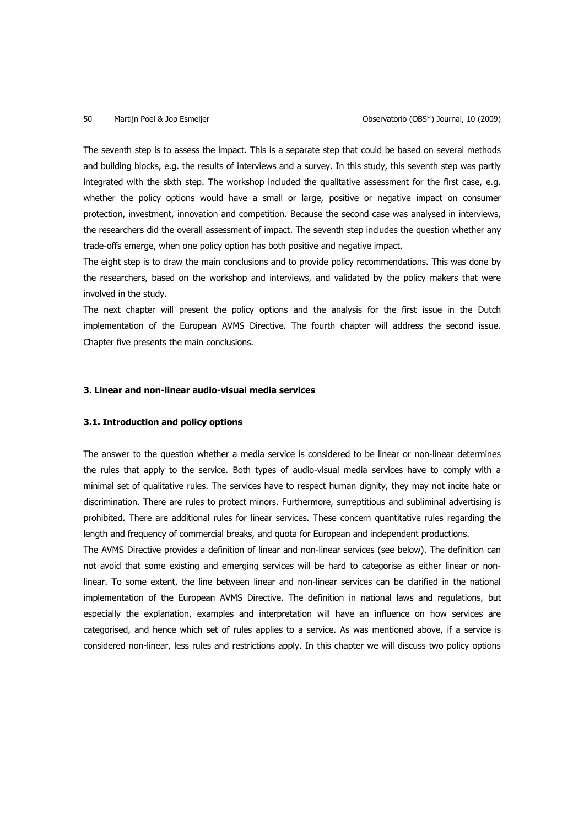The seventh step is to assess the impact. This is a separate step that could be based on several methods and building blocks, e.g. the results of interviews and a survey. In this study, this seventh step was partly integrated with the sixth step. The workshop included the qualitative assessment for the first case, e.g. whether the policy options would have a small or large, positive or negative impact on consumer protection, investment, innovation and competition. Because the second case was analysed in interviews, the researchers did the overall assessment of impact. The seventh step includes the question whether any trade-offs emerge, when one policy option has both positive and negative impact.

The eight step is to draw the main conclusions and to provide policy recommendations. This was done by the researchers, based on the workshop and interviews, and validated by the policy makers that were involved in the study.

The next chapter will present the policy options and the analysis for the first issue in the Dutch implementation of the European AVMS Directive. The fourth chapter will address the second issue. Chapter five presents the main conclusions.

## **3. Linear and non-linear audio-visual media services**

### **3.1. Introduction and policy options**

The answer to the question whether a media service is considered to be linear or non-linear determines the rules that apply to the service. Both types of audio-visual media services have to comply with a minimal set of qualitative rules. The services have to respect human dignity, they may not incite hate or discrimination. There are rules to protect minors. Furthermore, surreptitious and subliminal advertising is prohibited. There are additional rules for linear services. These concern quantitative rules regarding the length and frequency of commercial breaks, and quota for European and independent productions.

The AVMS Directive provides a definition of linear and non-linear services (see below). The definition can not avoid that some existing and emerging services will be hard to categorise as either linear or nonlinear. To some extent, the line between linear and non-linear services can be clarified in the national implementation of the European AVMS Directive. The definition in national laws and regulations, but especially the explanation, examples and interpretation will have an influence on how services are categorised, and hence which set of rules applies to a service. As was mentioned above, if a service is considered non-linear, less rules and restrictions apply. In this chapter we will discuss two policy options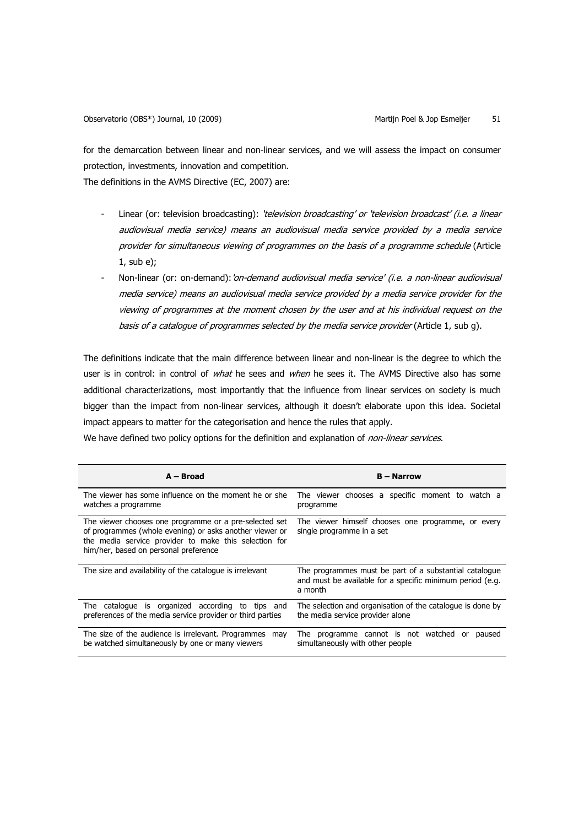for the demarcation between linear and non-linear services, and we will assess the impact on consumer protection, investments, innovation and competition.

The definitions in the AVMS Directive (EC, 2007) are:

- Linear (or: television broadcasting): *'television broadcasting' or 'television broadcast' (i.e. a linear* audiovisual media service) means an audiovisual media service provided by a media service provider for simultaneous viewing of programmes on the basis of a programme schedule (Article 1, sub e);
- Non-linear (or: on-demand): 'on-demand audiovisual media service' (i.e. a non-linear audiovisual media service) means an audiovisual media service provided by a media service provider for the viewing of programmes at the moment chosen by the user and at his individual request on the basis of a catalogue of programmes selected by the media service provider (Article 1, sub g).

The definitions indicate that the main difference between linear and non-linear is the degree to which the user is in control: in control of *what* he sees and *when* he sees it. The AVMS Directive also has some additional characterizations, most importantly that the influence from linear services on society is much bigger than the impact from non-linear services, although it doesn't elaborate upon this idea. Societal impact appears to matter for the categorisation and hence the rules that apply.

We have defined two policy options for the definition and explanation of non-linear services.

| $A - Broad$                                                                                                                                                                                                         | <b>B</b> – Narrow                                                                                                              |  |
|---------------------------------------------------------------------------------------------------------------------------------------------------------------------------------------------------------------------|--------------------------------------------------------------------------------------------------------------------------------|--|
| The viewer has some influence on the moment he or she<br>watches a programme                                                                                                                                        | The viewer chooses a specific moment to watch a<br>programme                                                                   |  |
| The viewer chooses one programme or a pre-selected set<br>of programmes (whole evening) or asks another viewer or<br>the media service provider to make this selection for<br>him/her, based on personal preference | The viewer himself chooses one programme, or every<br>single programme in a set                                                |  |
| The size and availability of the catalogue is irrelevant                                                                                                                                                            | The programmes must be part of a substantial catalogue<br>and must be available for a specific minimum period (e.g.<br>a month |  |
| catalogue is organized according<br>to tips and<br>The<br>preferences of the media service provider or third parties                                                                                                | The selection and organisation of the catalogue is done by<br>the media service provider alone                                 |  |
| The size of the audience is irrelevant. Programmes<br>may<br>be watched simultaneously by one or many viewers                                                                                                       | The programme cannot is not watched<br>paused<br>or<br>simultaneously with other people                                        |  |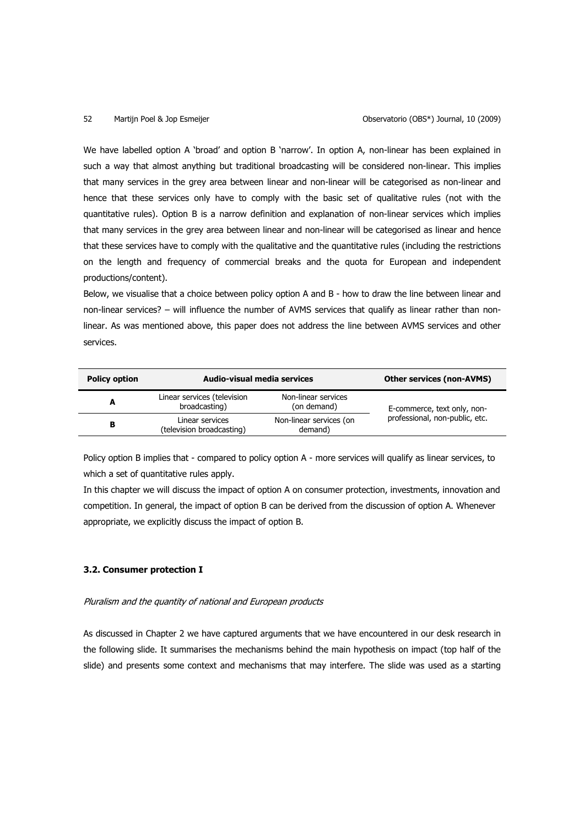We have labelled option A 'broad' and option B 'narrow'. In option A, non-linear has been explained in such a way that almost anything but traditional broadcasting will be considered non-linear. This implies that many services in the grey area between linear and non-linear will be categorised as non-linear and hence that these services only have to comply with the basic set of qualitative rules (not with the quantitative rules). Option B is a narrow definition and explanation of non-linear services which implies that many services in the grey area between linear and non-linear will be categorised as linear and hence that these services have to comply with the qualitative and the quantitative rules (including the restrictions on the length and frequency of commercial breaks and the quota for European and independent productions/content).

Below, we visualise that a choice between policy option A and B - how to draw the line between linear and non-linear services? – will influence the number of AVMS services that qualify as linear rather than nonlinear. As was mentioned above, this paper does not address the line between AVMS services and other services.

| <b>Policy option</b> | Audio-visual media services                  |                                    | <b>Other services (non-AVMS)</b> |
|----------------------|----------------------------------------------|------------------------------------|----------------------------------|
| A                    | Linear services (television<br>broadcasting) | Non-linear services<br>(on demand) | E-commerce, text only, non-      |
| в                    | Linear services<br>(television broadcasting) | Non-linear services (on<br>demand) | professional, non-public, etc.   |

Policy option B implies that - compared to policy option A - more services will qualify as linear services, to which a set of quantitative rules apply.

In this chapter we will discuss the impact of option A on consumer protection, investments, innovation and competition. In general, the impact of option B can be derived from the discussion of option A. Whenever appropriate, we explicitly discuss the impact of option B.

## **3.2. Consumer protection I**

### Pluralism and the quantity of national and European products

As discussed in Chapter 2 we have captured arguments that we have encountered in our desk research in the following slide. It summarises the mechanisms behind the main hypothesis on impact (top half of the slide) and presents some context and mechanisms that may interfere. The slide was used as a starting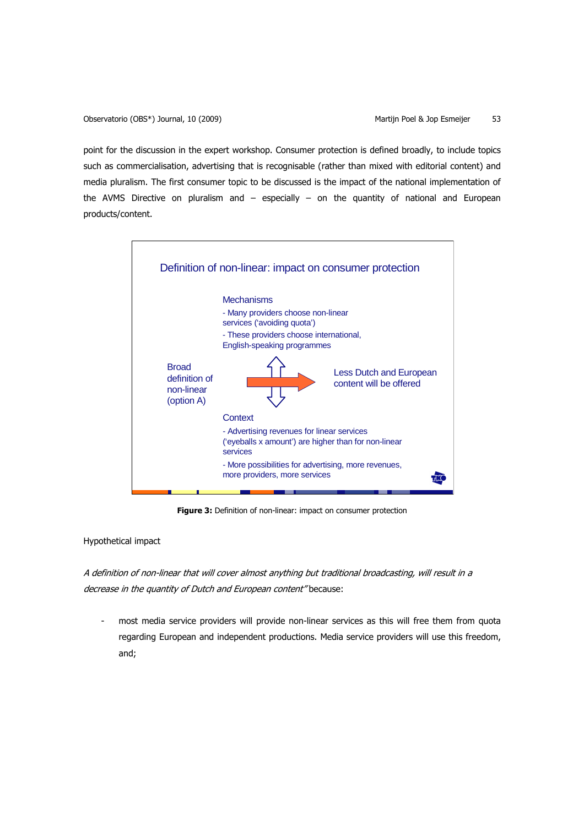point for the discussion in the expert workshop. Consumer protection is defined broadly, to include topics such as commercialisation, advertising that is recognisable (rather than mixed with editorial content) and media pluralism. The first consumer topic to be discussed is the impact of the national implementation of the AVMS Directive on pluralism and  $-$  especially  $-$  on the quantity of national and European products/content.



**Figure 3:** Definition of non-linear: impact on consumer protection

Hypothetical impact

A definition of non-linear that will cover almost anything but traditional broadcasting, will result in a decrease in the quantity of Dutch and European content" because:

most media service providers will provide non-linear services as this will free them from quota regarding European and independent productions. Media service providers will use this freedom, and;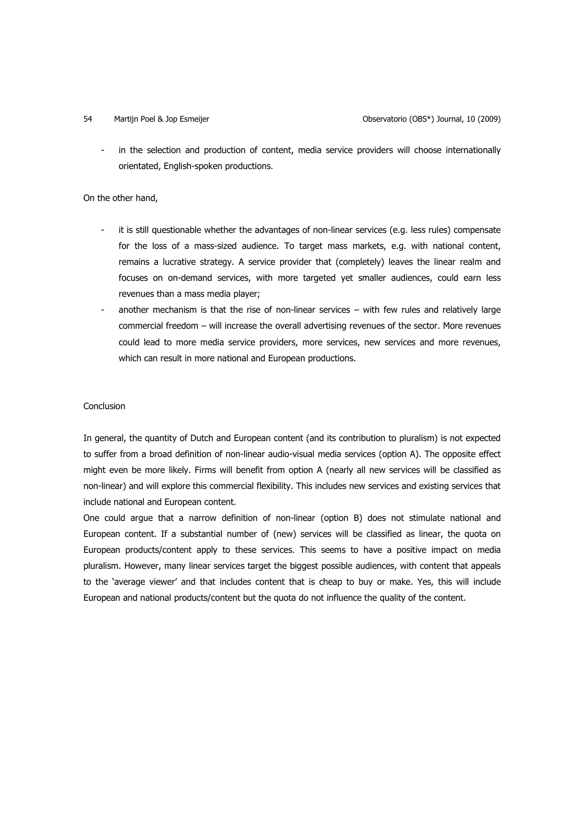in the selection and production of content, media service providers will choose internationally orientated, English-spoken productions.

On the other hand,

- it is still questionable whether the advantages of non-linear services (e.g. less rules) compensate for the loss of a mass-sized audience. To target mass markets, e.g. with national content, remains a lucrative strategy. A service provider that (completely) leaves the linear realm and focuses on on-demand services, with more targeted yet smaller audiences, could earn less revenues than a mass media player;
- another mechanism is that the rise of non-linear services  $-$  with few rules and relatively large commercial freedom – will increase the overall advertising revenues of the sector. More revenues could lead to more media service providers, more services, new services and more revenues, which can result in more national and European productions.

## Conclusion

In general, the quantity of Dutch and European content (and its contribution to pluralism) is not expected to suffer from a broad definition of non-linear audio-visual media services (option A). The opposite effect might even be more likely. Firms will benefit from option A (nearly all new services will be classified as non-linear) and will explore this commercial flexibility. This includes new services and existing services that include national and European content.

One could argue that a narrow definition of non-linear (option B) does not stimulate national and European content. If a substantial number of (new) services will be classified as linear, the quota on European products/content apply to these services. This seems to have a positive impact on media pluralism. However, many linear services target the biggest possible audiences, with content that appeals to the 'average viewer' and that includes content that is cheap to buy or make. Yes, this will include European and national products/content but the quota do not influence the quality of the content.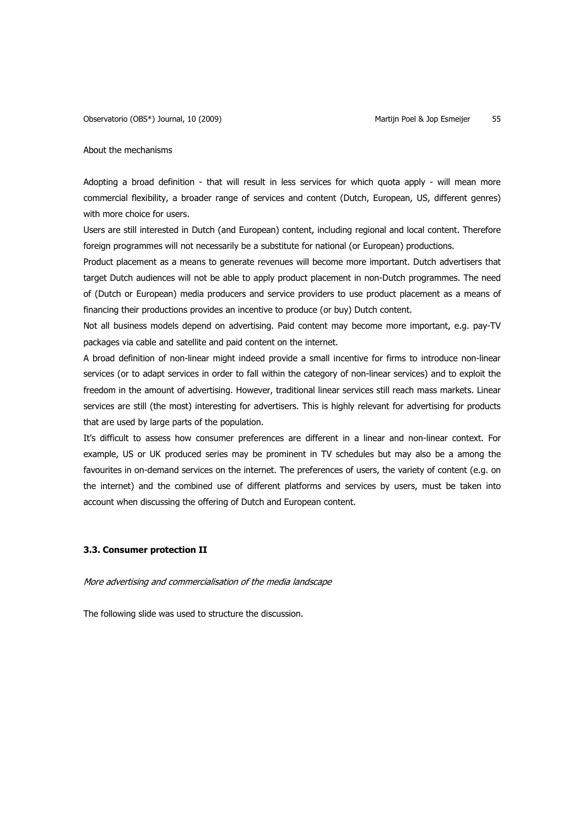### About the mechanisms

Adopting a broad definition - that will result in less services for which quota apply - will mean more commercial flexibility, a broader range of services and content (Dutch, European, US, different genres) with more choice for users.

Users are still interested in Dutch (and European) content, including regional and local content. Therefore foreign programmes will not necessarily be a substitute for national (or European) productions.

Product placement as a means to generate revenues will become more important. Dutch advertisers that target Dutch audiences will not be able to apply product placement in non-Dutch programmes. The need of (Dutch or European) media producers and service providers to use product placement as a means of financing their productions provides an incentive to produce (or buy) Dutch content.

Not all business models depend on advertising. Paid content may become more important, e.g. pay-TV packages via cable and satellite and paid content on the internet.

A broad definition of non-linear might indeed provide a small incentive for firms to introduce non-linear services (or to adapt services in order to fall within the category of non-linear services) and to exploit the freedom in the amount of advertising. However, traditional linear services still reach mass markets. Linear services are still (the most) interesting for advertisers. This is highly relevant for advertising for products that are used by large parts of the population.

It's difficult to assess how consumer preferences are different in a linear and non-linear context. For example, US or UK produced series may be prominent in TV schedules but may also be a among the favourites in on-demand services on the internet. The preferences of users, the variety of content (e.g. on the internet) and the combined use of different platforms and services by users, must be taken into account when discussing the offering of Dutch and European content.

## **3.3. Consumer protection II**

### More advertising and commercialisation of the media landscape

The following slide was used to structure the discussion.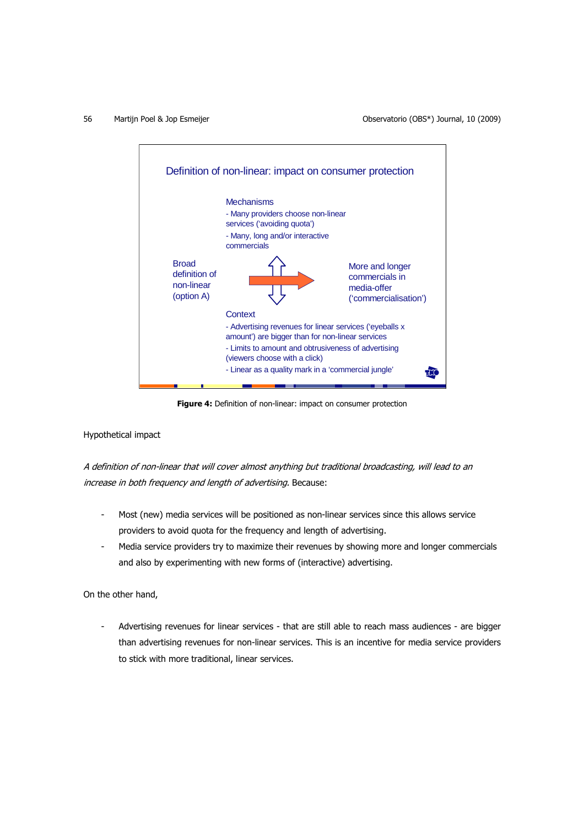56 Martijn Poel & Jop Esmeijer Observatorio (OBS\*) Journal, 10 (2009)



**Figure 4:** Definition of non-linear: impact on consumer protection

Hypothetical impact

A definition of non-linear that will cover almost anything but traditional broadcasting, will lead to an increase in both frequency and length of advertising. Because:

- Most (new) media services will be positioned as non-linear services since this allows service providers to avoid quota for the frequency and length of advertising.
- Media service providers try to maximize their revenues by showing more and longer commercials and also by experimenting with new forms of (interactive) advertising.

On the other hand,

Advertising revenues for linear services - that are still able to reach mass audiences - are bigger than advertising revenues for non-linear services. This is an incentive for media service providers to stick with more traditional, linear services.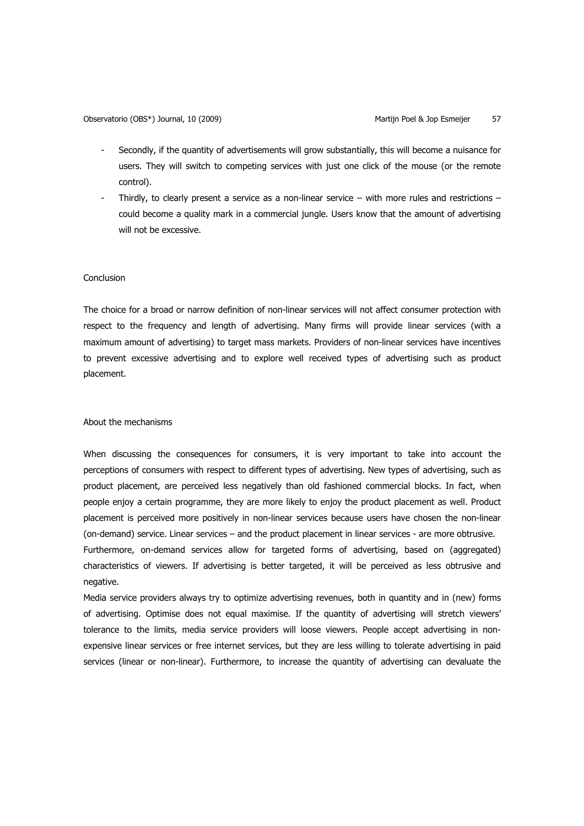- Secondly, if the quantity of advertisements will grow substantially, this will become a nuisance for users. They will switch to competing services with just one click of the mouse (or the remote control).
- Thirdly, to clearly present a service as a non-linear service with more rules and restrictions could become a quality mark in a commercial jungle. Users know that the amount of advertising will not be excessive.

## Conclusion

The choice for a broad or narrow definition of non-linear services will not affect consumer protection with respect to the frequency and length of advertising. Many firms will provide linear services (with a maximum amount of advertising) to target mass markets. Providers of non-linear services have incentives to prevent excessive advertising and to explore well received types of advertising such as product placement.

### About the mechanisms

negative.

When discussing the consequences for consumers, it is very important to take into account the perceptions of consumers with respect to different types of advertising. New types of advertising, such as product placement, are perceived less negatively than old fashioned commercial blocks. In fact, when people enjoy a certain programme, they are more likely to enjoy the product placement as well. Product placement is perceived more positively in non-linear services because users have chosen the non-linear (on-demand) service. Linear services – and the product placement in linear services - are more obtrusive. Furthermore, on-demand services allow for targeted forms of advertising, based on (aggregated) characteristics of viewers. If advertising is better targeted, it will be perceived as less obtrusive and

Media service providers always try to optimize advertising revenues, both in quantity and in (new) forms of advertising. Optimise does not equal maximise. If the quantity of advertising will stretch viewers' tolerance to the limits, media service providers will loose viewers. People accept advertising in nonexpensive linear services or free internet services, but they are less willing to tolerate advertising in paid services (linear or non-linear). Furthermore, to increase the quantity of advertising can devaluate the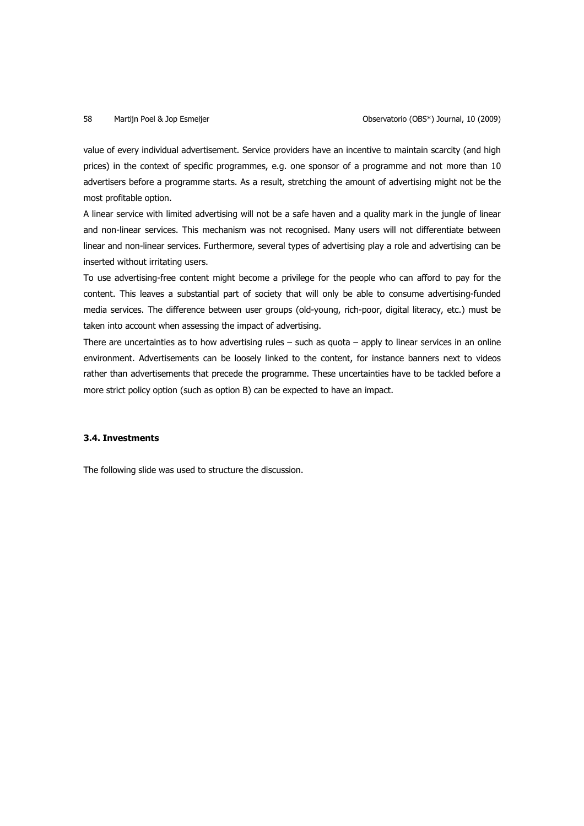value of every individual advertisement. Service providers have an incentive to maintain scarcity (and high prices) in the context of specific programmes, e.g. one sponsor of a programme and not more than 10 advertisers before a programme starts. As a result, stretching the amount of advertising might not be the most profitable option.

A linear service with limited advertising will not be a safe haven and a quality mark in the jungle of linear and non-linear services. This mechanism was not recognised. Many users will not differentiate between linear and non-linear services. Furthermore, several types of advertising play a role and advertising can be inserted without irritating users.

To use advertising-free content might become a privilege for the people who can afford to pay for the content. This leaves a substantial part of society that will only be able to consume advertising-funded media services. The difference between user groups (old-young, rich-poor, digital literacy, etc.) must be taken into account when assessing the impact of advertising.

There are uncertainties as to how advertising rules  $-$  such as quota  $-$  apply to linear services in an online environment. Advertisements can be loosely linked to the content, for instance banners next to videos rather than advertisements that precede the programme. These uncertainties have to be tackled before a more strict policy option (such as option B) can be expected to have an impact.

## **3.4. Investments**

The following slide was used to structure the discussion.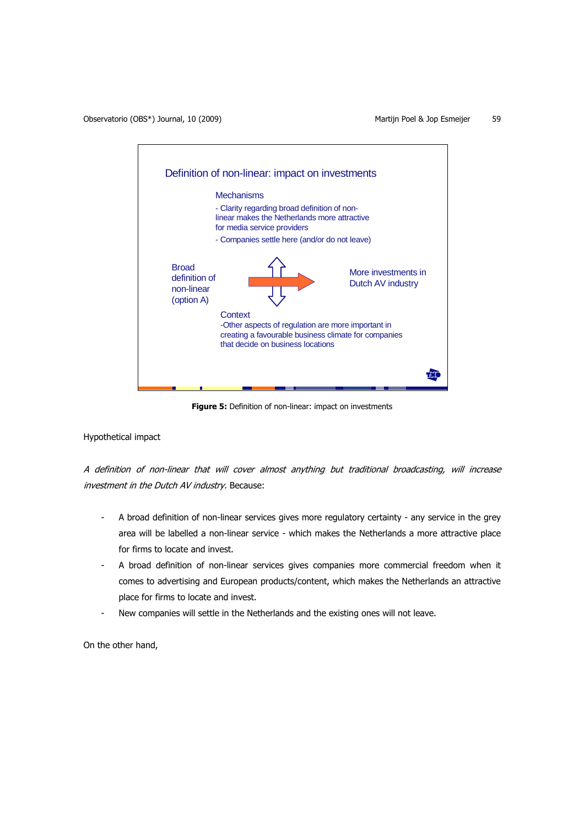

**Figure 5:** Definition of non-linear: impact on investments

## Hypothetical impact

A definition of non-linear that will cover almost anything but traditional broadcasting, will increase investment in the Dutch AV industry. Because:

- A broad definition of non-linear services gives more regulatory certainty any service in the grey area will be labelled a non-linear service - which makes the Netherlands a more attractive place for firms to locate and invest.
- A broad definition of non-linear services gives companies more commercial freedom when it comes to advertising and European products/content, which makes the Netherlands an attractive place for firms to locate and invest.
- New companies will settle in the Netherlands and the existing ones will not leave.

On the other hand,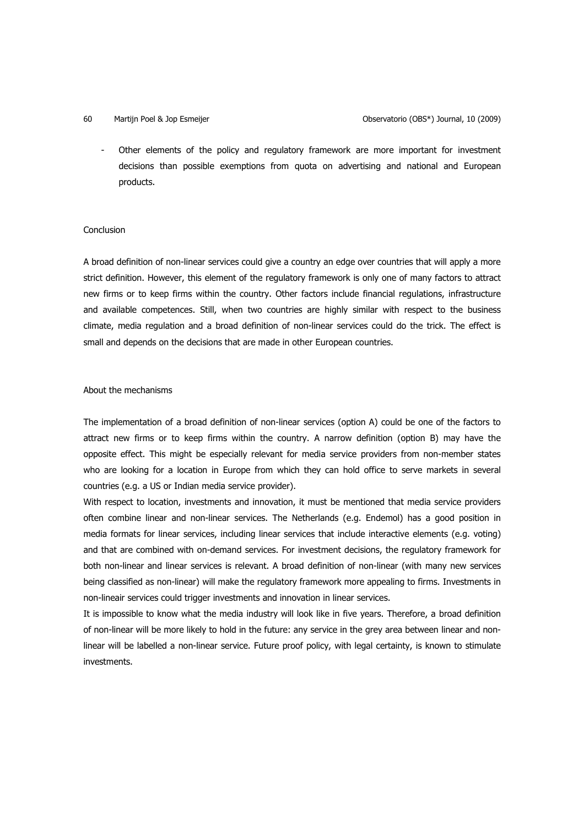Other elements of the policy and regulatory framework are more important for investment decisions than possible exemptions from quota on advertising and national and European products.

## **Conclusion**

A broad definition of non-linear services could give a country an edge over countries that will apply a more strict definition. However, this element of the regulatory framework is only one of many factors to attract new firms or to keep firms within the country. Other factors include financial regulations, infrastructure and available competences. Still, when two countries are highly similar with respect to the business climate, media regulation and a broad definition of non-linear services could do the trick. The effect is small and depends on the decisions that are made in other European countries.

### About the mechanisms

The implementation of a broad definition of non-linear services (option A) could be one of the factors to attract new firms or to keep firms within the country. A narrow definition (option B) may have the opposite effect. This might be especially relevant for media service providers from non-member states who are looking for a location in Europe from which they can hold office to serve markets in several countries (e.g. a US or Indian media service provider).

With respect to location, investments and innovation, it must be mentioned that media service providers often combine linear and non-linear services. The Netherlands (e.g. Endemol) has a good position in media formats for linear services, including linear services that include interactive elements (e.g. voting) and that are combined with on-demand services. For investment decisions, the regulatory framework for both non-linear and linear services is relevant. A broad definition of non-linear (with many new services being classified as non-linear) will make the regulatory framework more appealing to firms. Investments in non-lineair services could trigger investments and innovation in linear services.

It is impossible to know what the media industry will look like in five years. Therefore, a broad definition of non-linear will be more likely to hold in the future: any service in the grey area between linear and nonlinear will be labelled a non-linear service. Future proof policy, with legal certainty, is known to stimulate investments.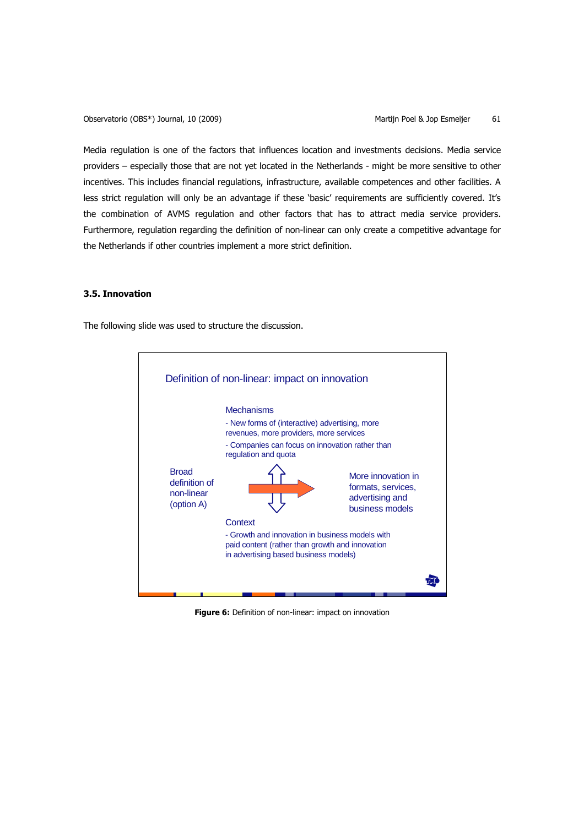Media regulation is one of the factors that influences location and investments decisions. Media service providers – especially those that are not yet located in the Netherlands - might be more sensitive to other incentives. This includes financial regulations, infrastructure, available competences and other facilities. A less strict regulation will only be an advantage if these 'basic' requirements are sufficiently covered. It's the combination of AVMS regulation and other factors that has to attract media service providers. Furthermore, regulation regarding the definition of non-linear can only create a competitive advantage for the Netherlands if other countries implement a more strict definition.

## **3.5. Innovation**

The following slide was used to structure the discussion.



**Figure 6:** Definition of non-linear: impact on innovation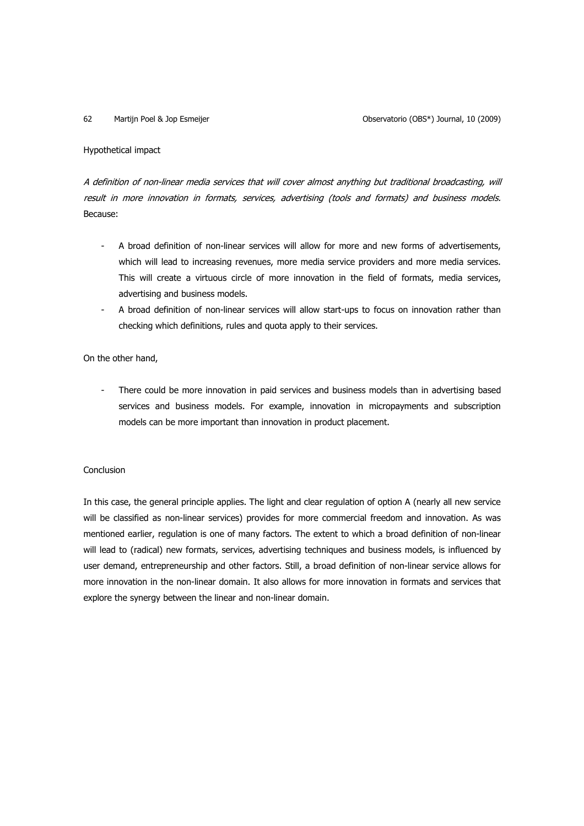## Hypothetical impact

A definition of non-linear media services that will cover almost anything but traditional broadcasting, will result in more innovation in formats, services, advertising (tools and formats) and business models. Because:

- A broad definition of non-linear services will allow for more and new forms of advertisements, which will lead to increasing revenues, more media service providers and more media services. This will create a virtuous circle of more innovation in the field of formats, media services, advertising and business models.
- A broad definition of non-linear services will allow start-ups to focus on innovation rather than checking which definitions, rules and quota apply to their services.

## On the other hand,

There could be more innovation in paid services and business models than in advertising based services and business models. For example, innovation in micropayments and subscription models can be more important than innovation in product placement.

## Conclusion

In this case, the general principle applies. The light and clear regulation of option A (nearly all new service will be classified as non-linear services) provides for more commercial freedom and innovation. As was mentioned earlier, regulation is one of many factors. The extent to which a broad definition of non-linear will lead to (radical) new formats, services, advertising techniques and business models, is influenced by user demand, entrepreneurship and other factors. Still, a broad definition of non-linear service allows for more innovation in the non-linear domain. It also allows for more innovation in formats and services that explore the synergy between the linear and non-linear domain.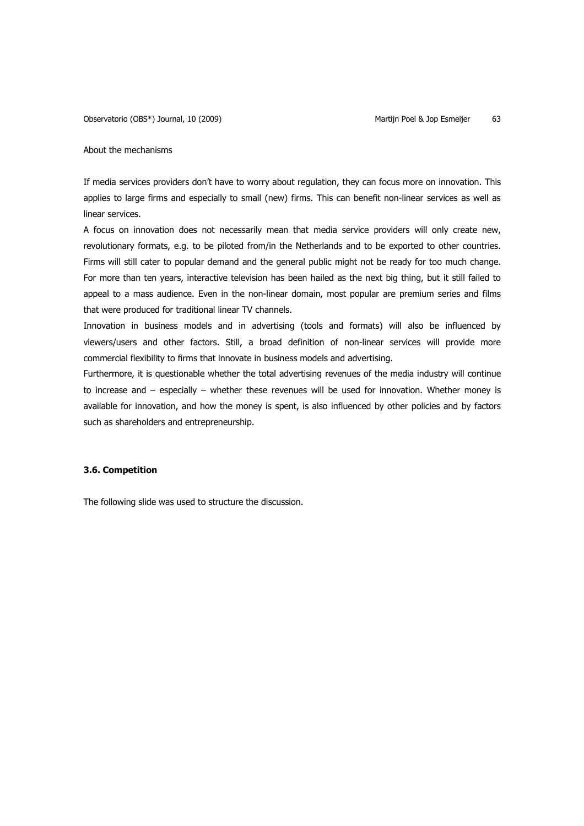### About the mechanisms

If media services providers don't have to worry about regulation, they can focus more on innovation. This applies to large firms and especially to small (new) firms. This can benefit non-linear services as well as linear services.

A focus on innovation does not necessarily mean that media service providers will only create new, revolutionary formats, e.g. to be piloted from/in the Netherlands and to be exported to other countries. Firms will still cater to popular demand and the general public might not be ready for too much change. For more than ten years, interactive television has been hailed as the next big thing, but it still failed to appeal to a mass audience. Even in the non-linear domain, most popular are premium series and films that were produced for traditional linear TV channels.

Innovation in business models and in advertising (tools and formats) will also be influenced by viewers/users and other factors. Still, a broad definition of non-linear services will provide more commercial flexibility to firms that innovate in business models and advertising.

Furthermore, it is questionable whether the total advertising revenues of the media industry will continue to increase and – especially – whether these revenues will be used for innovation. Whether money is available for innovation, and how the money is spent, is also influenced by other policies and by factors such as shareholders and entrepreneurship.

## **3.6. Competition**

The following slide was used to structure the discussion.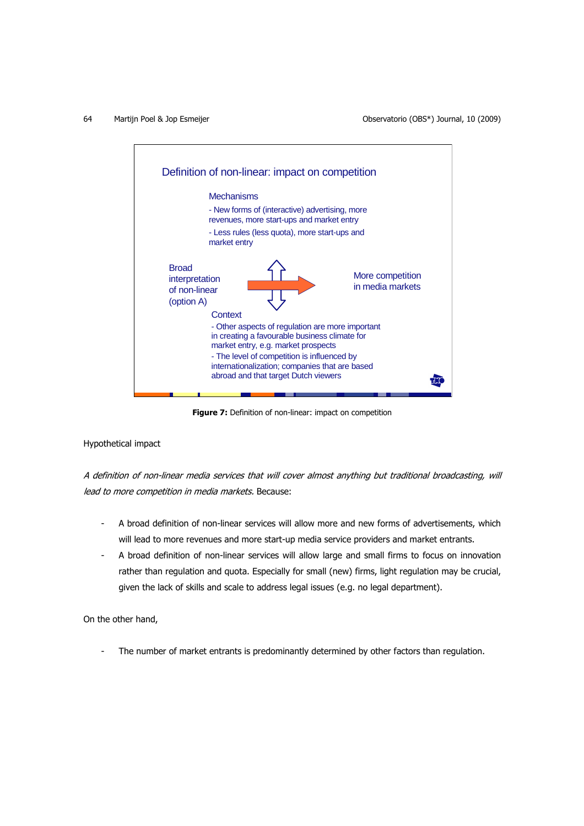

**Figure 7:** Definition of non-linear: impact on competition

## Hypothetical impact

A definition of non-linear media services that will cover almost anything but traditional broadcasting, will lead to more competition in media markets. Because:

- A broad definition of non-linear services will allow more and new forms of advertisements, which will lead to more revenues and more start-up media service providers and market entrants.
- A broad definition of non-linear services will allow large and small firms to focus on innovation rather than regulation and quota. Especially for small (new) firms, light regulation may be crucial, given the lack of skills and scale to address legal issues (e.g. no legal department).

On the other hand,

The number of market entrants is predominantly determined by other factors than regulation.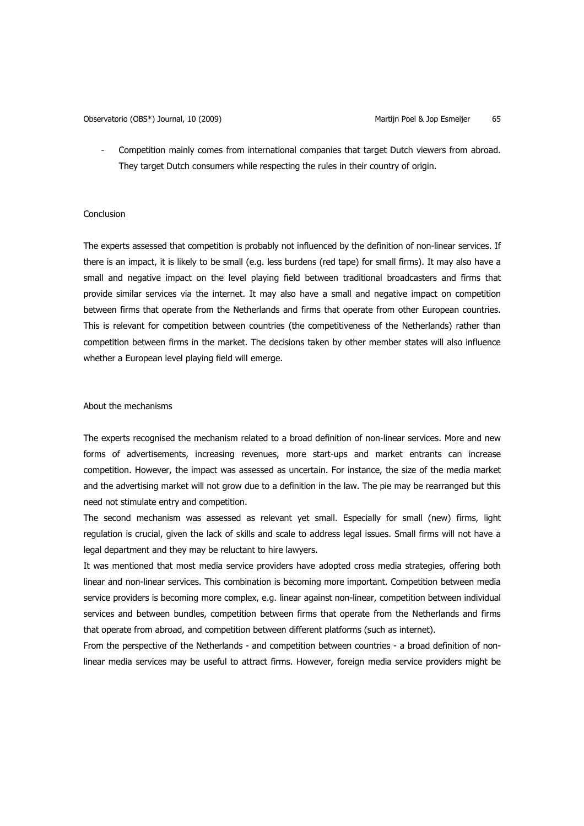Competition mainly comes from international companies that target Dutch viewers from abroad. They target Dutch consumers while respecting the rules in their country of origin.

## Conclusion

The experts assessed that competition is probably not influenced by the definition of non-linear services. If there is an impact, it is likely to be small (e.g. less burdens (red tape) for small firms). It may also have a small and negative impact on the level playing field between traditional broadcasters and firms that provide similar services via the internet. It may also have a small and negative impact on competition between firms that operate from the Netherlands and firms that operate from other European countries. This is relevant for competition between countries (the competitiveness of the Netherlands) rather than competition between firms in the market. The decisions taken by other member states will also influence whether a European level playing field will emerge.

## About the mechanisms

The experts recognised the mechanism related to a broad definition of non-linear services. More and new forms of advertisements, increasing revenues, more start-ups and market entrants can increase competition. However, the impact was assessed as uncertain. For instance, the size of the media market and the advertising market will not grow due to a definition in the law. The pie may be rearranged but this need not stimulate entry and competition.

The second mechanism was assessed as relevant yet small. Especially for small (new) firms, light regulation is crucial, given the lack of skills and scale to address legal issues. Small firms will not have a legal department and they may be reluctant to hire lawyers.

It was mentioned that most media service providers have adopted cross media strategies, offering both linear and non-linear services. This combination is becoming more important. Competition between media service providers is becoming more complex, e.g. linear against non-linear, competition between individual services and between bundles, competition between firms that operate from the Netherlands and firms that operate from abroad, and competition between different platforms (such as internet).

From the perspective of the Netherlands - and competition between countries - a broad definition of nonlinear media services may be useful to attract firms. However, foreign media service providers might be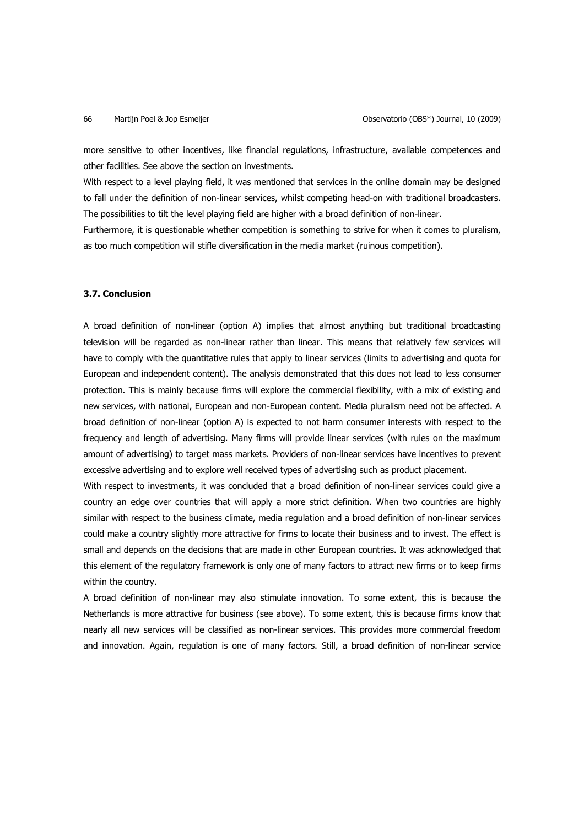more sensitive to other incentives, like financial regulations, infrastructure, available competences and other facilities. See above the section on investments.

With respect to a level playing field, it was mentioned that services in the online domain may be designed to fall under the definition of non-linear services, whilst competing head-on with traditional broadcasters. The possibilities to tilt the level playing field are higher with a broad definition of non-linear.

Furthermore, it is questionable whether competition is something to strive for when it comes to pluralism, as too much competition will stifle diversification in the media market (ruinous competition).

## **3.7. Conclusion**

A broad definition of non-linear (option A) implies that almost anything but traditional broadcasting television will be regarded as non-linear rather than linear. This means that relatively few services will have to comply with the quantitative rules that apply to linear services (limits to advertising and quota for European and independent content). The analysis demonstrated that this does not lead to less consumer protection. This is mainly because firms will explore the commercial flexibility, with a mix of existing and new services, with national, European and non-European content. Media pluralism need not be affected. A broad definition of non-linear (option A) is expected to not harm consumer interests with respect to the frequency and length of advertising. Many firms will provide linear services (with rules on the maximum amount of advertising) to target mass markets. Providers of non-linear services have incentives to prevent excessive advertising and to explore well received types of advertising such as product placement.

With respect to investments, it was concluded that a broad definition of non-linear services could give a country an edge over countries that will apply a more strict definition. When two countries are highly similar with respect to the business climate, media regulation and a broad definition of non-linear services could make a country slightly more attractive for firms to locate their business and to invest. The effect is small and depends on the decisions that are made in other European countries. It was acknowledged that this element of the regulatory framework is only one of many factors to attract new firms or to keep firms within the country.

A broad definition of non-linear may also stimulate innovation. To some extent, this is because the Netherlands is more attractive for business (see above). To some extent, this is because firms know that nearly all new services will be classified as non-linear services. This provides more commercial freedom and innovation. Again, regulation is one of many factors. Still, a broad definition of non-linear service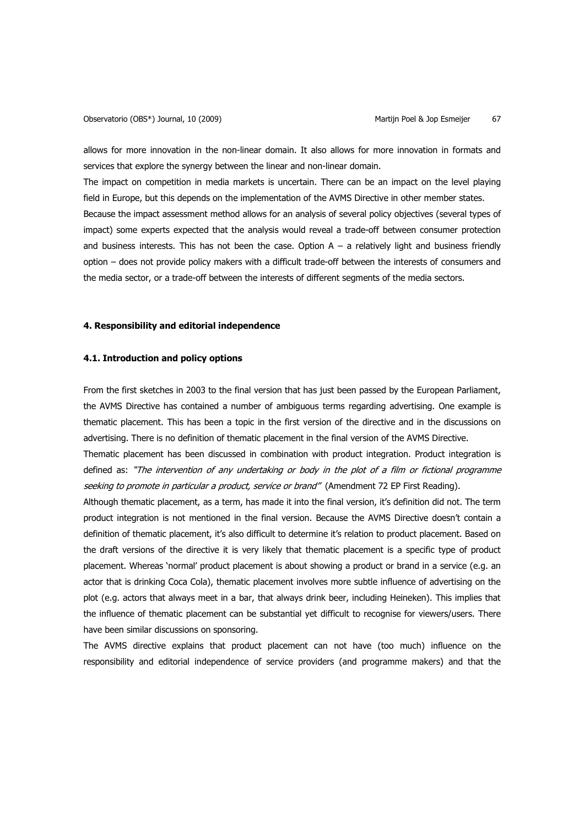allows for more innovation in the non-linear domain. It also allows for more innovation in formats and services that explore the synergy between the linear and non-linear domain.

The impact on competition in media markets is uncertain. There can be an impact on the level playing field in Europe, but this depends on the implementation of the AVMS Directive in other member states. Because the impact assessment method allows for an analysis of several policy objectives (several types of impact) some experts expected that the analysis would reveal a trade-off between consumer protection and business interests. This has not been the case. Option  $A - a$  relatively light and business friendly option – does not provide policy makers with a difficult trade-off between the interests of consumers and the media sector, or a trade-off between the interests of different segments of the media sectors.

## **4. Responsibility and editorial independence**

### **4.1. Introduction and policy options**

From the first sketches in 2003 to the final version that has just been passed by the European Parliament, the AVMS Directive has contained a number of ambiguous terms regarding advertising. One example is thematic placement. This has been a topic in the first version of the directive and in the discussions on advertising. There is no definition of thematic placement in the final version of the AVMS Directive.

Thematic placement has been discussed in combination with product integration. Product integration is defined as: "The intervention of any undertaking or body in the plot of a film or fictional programme seeking to promote in particular a product, service or brand" (Amendment 72 EP First Reading).

Although thematic placement, as a term, has made it into the final version, it's definition did not. The term product integration is not mentioned in the final version. Because the AVMS Directive doesn't contain a definition of thematic placement, it's also difficult to determine it's relation to product placement. Based on the draft versions of the directive it is very likely that thematic placement is a specific type of product placement. Whereas 'normal' product placement is about showing a product or brand in a service (e.g. an actor that is drinking Coca Cola), thematic placement involves more subtle influence of advertising on the plot (e.g. actors that always meet in a bar, that always drink beer, including Heineken). This implies that the influence of thematic placement can be substantial yet difficult to recognise for viewers/users. There have been similar discussions on sponsoring.

The AVMS directive explains that product placement can not have (too much) influence on the responsibility and editorial independence of service providers (and programme makers) and that the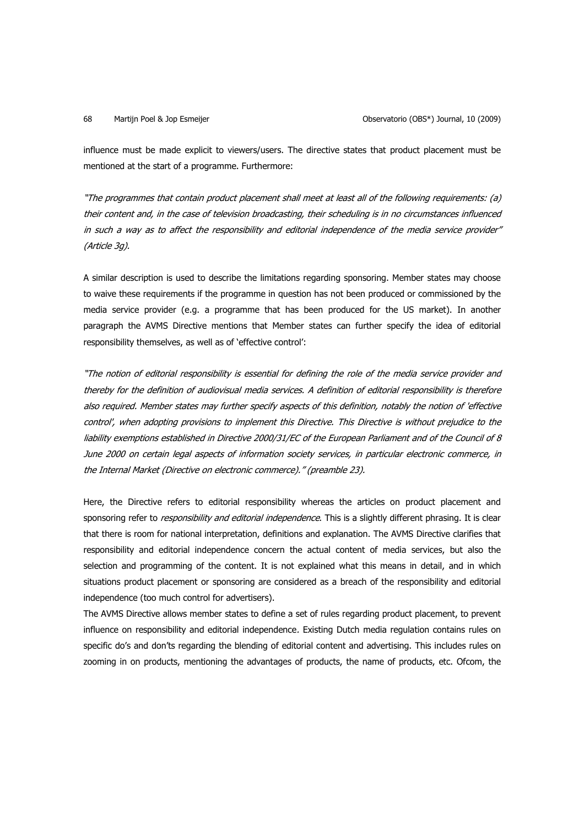influence must be made explicit to viewers/users. The directive states that product placement must be mentioned at the start of a programme. Furthermore:

"The programmes that contain product placement shall meet at least all of the following requirements: (a) their content and, in the case of television broadcasting, their scheduling is in no circumstances influenced in such a way as to affect the responsibility and editorial independence of the media service provider" (Article 3g).

A similar description is used to describe the limitations regarding sponsoring. Member states may choose to waive these requirements if the programme in question has not been produced or commissioned by the media service provider (e.g. a programme that has been produced for the US market). In another paragraph the AVMS Directive mentions that Member states can further specify the idea of editorial responsibility themselves, as well as of 'effective control':

"The notion of editorial responsibility is essential for defining the role of the media service provider and thereby for the definition of audiovisual media services. A definition of editorial responsibility is therefore also required. Member states may further specify aspects of this definition, notably the notion of 'effective control', when adopting provisions to implement this Directive. This Directive is without prejudice to the liability exemptions established in Directive 2000/31/EC of the European Parliament and of the Council of 8 June 2000 on certain legal aspects of information society services, in particular electronic commerce, in the Internal Market (Directive on electronic commerce)." (preamble 23).

Here, the Directive refers to editorial responsibility whereas the articles on product placement and sponsoring refer to responsibility and editorial independence. This is a slightly different phrasing. It is clear that there is room for national interpretation, definitions and explanation. The AVMS Directive clarifies that responsibility and editorial independence concern the actual content of media services, but also the selection and programming of the content. It is not explained what this means in detail, and in which situations product placement or sponsoring are considered as a breach of the responsibility and editorial independence (too much control for advertisers).

The AVMS Directive allows member states to define a set of rules regarding product placement, to prevent influence on responsibility and editorial independence. Existing Dutch media regulation contains rules on specific do's and don'ts regarding the blending of editorial content and advertising. This includes rules on zooming in on products, mentioning the advantages of products, the name of products, etc. Ofcom, the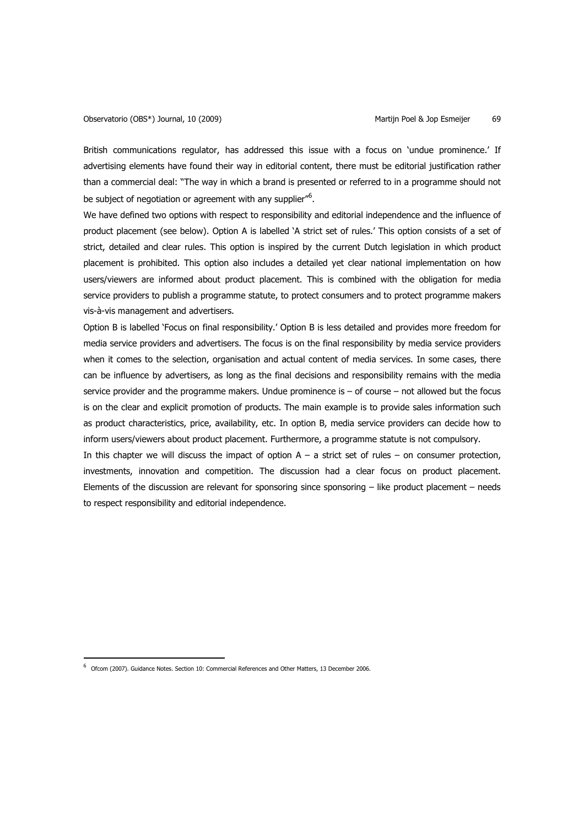British communications regulator, has addressed this issue with a focus on 'undue prominence.' If advertising elements have found their way in editorial content, there must be editorial justification rather than a commercial deal: "The way in which a brand is presented or referred to in a programme should not be subject of negotiation or agreement with any supplier"<sup>6</sup>.

We have defined two options with respect to responsibility and editorial independence and the influence of product placement (see below). Option A is labelled 'A strict set of rules.' This option consists of a set of strict, detailed and clear rules. This option is inspired by the current Dutch legislation in which product placement is prohibited. This option also includes a detailed yet clear national implementation on how users/viewers are informed about product placement. This is combined with the obligation for media service providers to publish a programme statute, to protect consumers and to protect programme makers vis-à-vis management and advertisers.

Option B is labelled 'Focus on final responsibility.' Option B is less detailed and provides more freedom for media service providers and advertisers. The focus is on the final responsibility by media service providers when it comes to the selection, organisation and actual content of media services. In some cases, there can be influence by advertisers, as long as the final decisions and responsibility remains with the media service provider and the programme makers. Undue prominence is  $-$  of course  $-$  not allowed but the focus is on the clear and explicit promotion of products. The main example is to provide sales information such as product characteristics, price, availability, etc. In option B, media service providers can decide how to inform users/viewers about product placement. Furthermore, a programme statute is not compulsory.

In this chapter we will discuss the impact of option  $A - a$  strict set of rules – on consumer protection, investments, innovation and competition. The discussion had a clear focus on product placement. Elements of the discussion are relevant for sponsoring since sponsoring – like product placement – needs to respect responsibility and editorial independence.

 $\overline{a}$ 

<sup>&</sup>lt;sup>6</sup> Ofcom (2007). Guidance Notes. Section 10: Commercial References and Other Matters, 13 December 2006.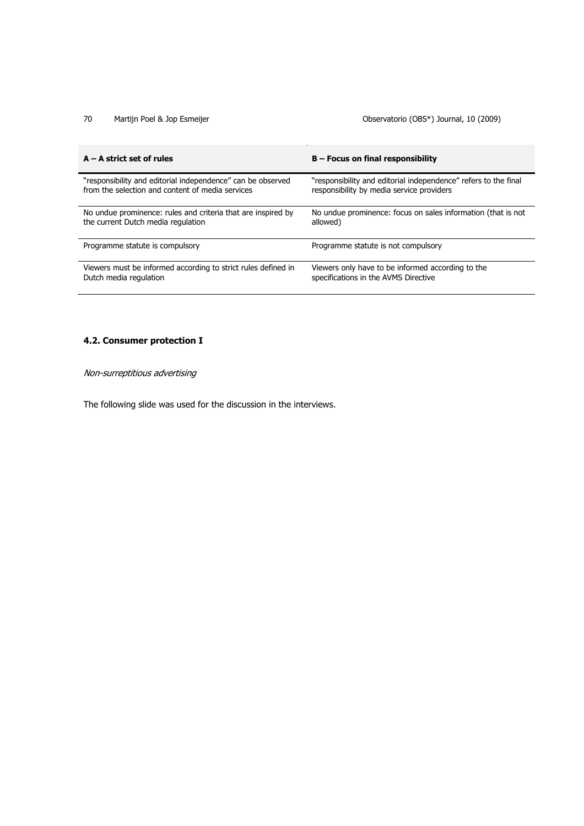# 70 Martijn Poel & Jop Esmeijer **Observatorio (OBS<sup>\*</sup>)** Journal, 10 (2009)

| $A - A$ strict set of rules                                   | $B$ – Focus on final responsibility                             |
|---------------------------------------------------------------|-----------------------------------------------------------------|
| "responsibility and editorial independence" can be observed   | "responsibility and editorial independence" refers to the final |
| from the selection and content of media services              | responsibility by media service providers                       |
| No undue prominence: rules and criteria that are inspired by  | No undue prominence: focus on sales information (that is not    |
| the current Dutch media regulation                            | allowed)                                                        |
| Programme statute is compulsory                               | Programme statute is not compulsory                             |
| Viewers must be informed according to strict rules defined in | Viewers only have to be informed according to the               |
| Dutch media regulation                                        | specifications in the AVMS Directive                            |

# **4.2. Consumer protection I**

Non-surreptitious advertising

The following slide was used for the discussion in the interviews.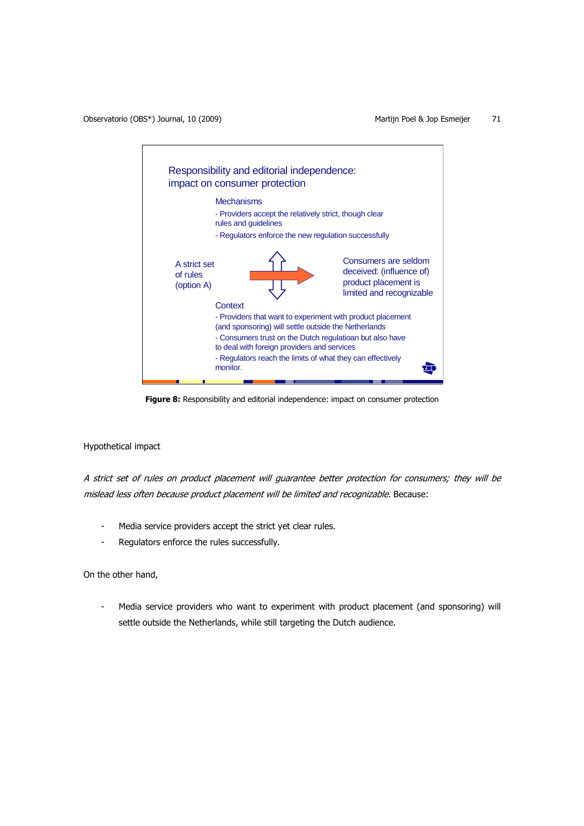

**Figure 8:** Responsibility and editorial independence: impact on consumer protection

## Hypothetical impact

A strict set of rules on product placement will guarantee better protection for consumers; they will be mislead less often because product placement will be limited and recognizable. Because:

- Media service providers accept the strict yet clear rules.
- Regulators enforce the rules successfully.

On the other hand,

Media service providers who want to experiment with product placement (and sponsoring) will settle outside the Netherlands, while still targeting the Dutch audience.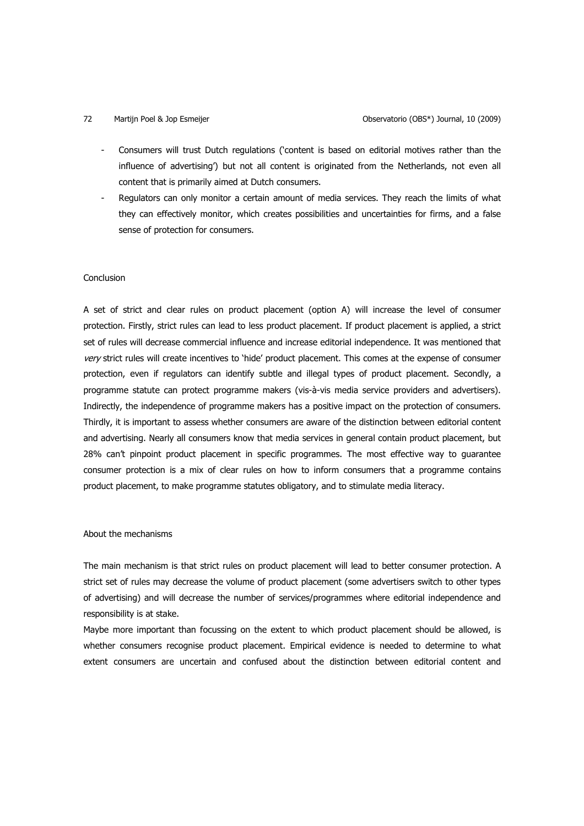- Consumers will trust Dutch regulations ('content is based on editorial motives rather than the influence of advertising') but not all content is originated from the Netherlands, not even all content that is primarily aimed at Dutch consumers.
- Regulators can only monitor a certain amount of media services. They reach the limits of what they can effectively monitor, which creates possibilities and uncertainties for firms, and a false sense of protection for consumers.

## Conclusion

A set of strict and clear rules on product placement (option A) will increase the level of consumer protection. Firstly, strict rules can lead to less product placement. If product placement is applied, a strict set of rules will decrease commercial influence and increase editorial independence. It was mentioned that very strict rules will create incentives to 'hide' product placement. This comes at the expense of consumer protection, even if regulators can identify subtle and illegal types of product placement. Secondly, a programme statute can protect programme makers (vis-à-vis media service providers and advertisers). Indirectly, the independence of programme makers has a positive impact on the protection of consumers. Thirdly, it is important to assess whether consumers are aware of the distinction between editorial content and advertising. Nearly all consumers know that media services in general contain product placement, but 28% can't pinpoint product placement in specific programmes. The most effective way to guarantee consumer protection is a mix of clear rules on how to inform consumers that a programme contains product placement, to make programme statutes obligatory, and to stimulate media literacy.

### About the mechanisms

The main mechanism is that strict rules on product placement will lead to better consumer protection. A strict set of rules may decrease the volume of product placement (some advertisers switch to other types of advertising) and will decrease the number of services/programmes where editorial independence and responsibility is at stake.

Maybe more important than focussing on the extent to which product placement should be allowed, is whether consumers recognise product placement. Empirical evidence is needed to determine to what extent consumers are uncertain and confused about the distinction between editorial content and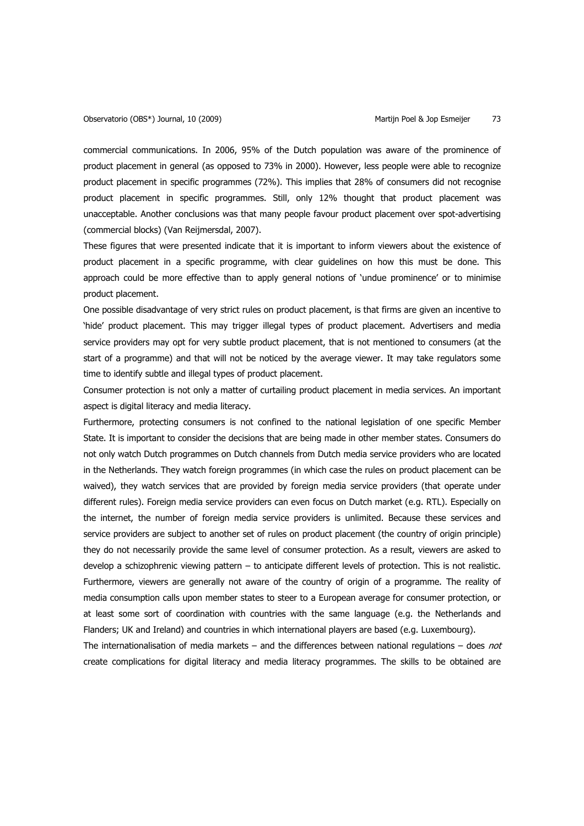commercial communications. In 2006, 95% of the Dutch population was aware of the prominence of product placement in general (as opposed to 73% in 2000). However, less people were able to recognize product placement in specific programmes (72%). This implies that 28% of consumers did not recognise product placement in specific programmes. Still, only 12% thought that product placement was unacceptable. Another conclusions was that many people favour product placement over spot-advertising (commercial blocks) (Van Reijmersdal, 2007).

These figures that were presented indicate that it is important to inform viewers about the existence of product placement in a specific programme, with clear guidelines on how this must be done. This approach could be more effective than to apply general notions of 'undue prominence' or to minimise product placement.

One possible disadvantage of very strict rules on product placement, is that firms are given an incentive to 'hide' product placement. This may trigger illegal types of product placement. Advertisers and media service providers may opt for very subtle product placement, that is not mentioned to consumers (at the start of a programme) and that will not be noticed by the average viewer. It may take regulators some time to identify subtle and illegal types of product placement.

Consumer protection is not only a matter of curtailing product placement in media services. An important aspect is digital literacy and media literacy.

Furthermore, protecting consumers is not confined to the national legislation of one specific Member State. It is important to consider the decisions that are being made in other member states. Consumers do not only watch Dutch programmes on Dutch channels from Dutch media service providers who are located in the Netherlands. They watch foreign programmes (in which case the rules on product placement can be waived), they watch services that are provided by foreign media service providers (that operate under different rules). Foreign media service providers can even focus on Dutch market (e.g. RTL). Especially on the internet, the number of foreign media service providers is unlimited. Because these services and service providers are subject to another set of rules on product placement (the country of origin principle) they do not necessarily provide the same level of consumer protection. As a result, viewers are asked to develop a schizophrenic viewing pattern – to anticipate different levels of protection. This is not realistic. Furthermore, viewers are generally not aware of the country of origin of a programme. The reality of media consumption calls upon member states to steer to a European average for consumer protection, or at least some sort of coordination with countries with the same language (e.g. the Netherlands and Flanders; UK and Ireland) and countries in which international players are based (e.g. Luxembourg).

The internationalisation of media markets  $-$  and the differences between national regulations  $-$  does not create complications for digital literacy and media literacy programmes. The skills to be obtained are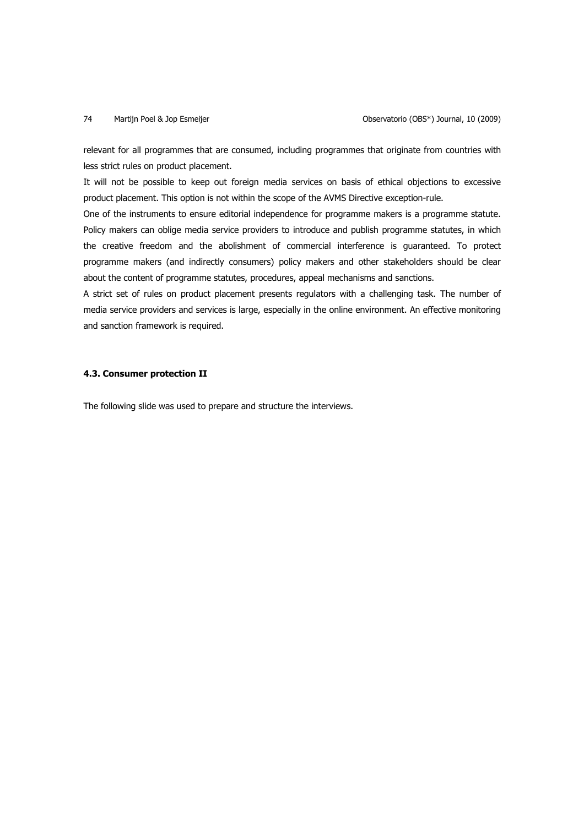relevant for all programmes that are consumed, including programmes that originate from countries with less strict rules on product placement.

It will not be possible to keep out foreign media services on basis of ethical objections to excessive product placement. This option is not within the scope of the AVMS Directive exception-rule.

One of the instruments to ensure editorial independence for programme makers is a programme statute. Policy makers can oblige media service providers to introduce and publish programme statutes, in which the creative freedom and the abolishment of commercial interference is guaranteed. To protect programme makers (and indirectly consumers) policy makers and other stakeholders should be clear about the content of programme statutes, procedures, appeal mechanisms and sanctions.

A strict set of rules on product placement presents regulators with a challenging task. The number of media service providers and services is large, especially in the online environment. An effective monitoring and sanction framework is required.

## **4.3. Consumer protection II**

The following slide was used to prepare and structure the interviews.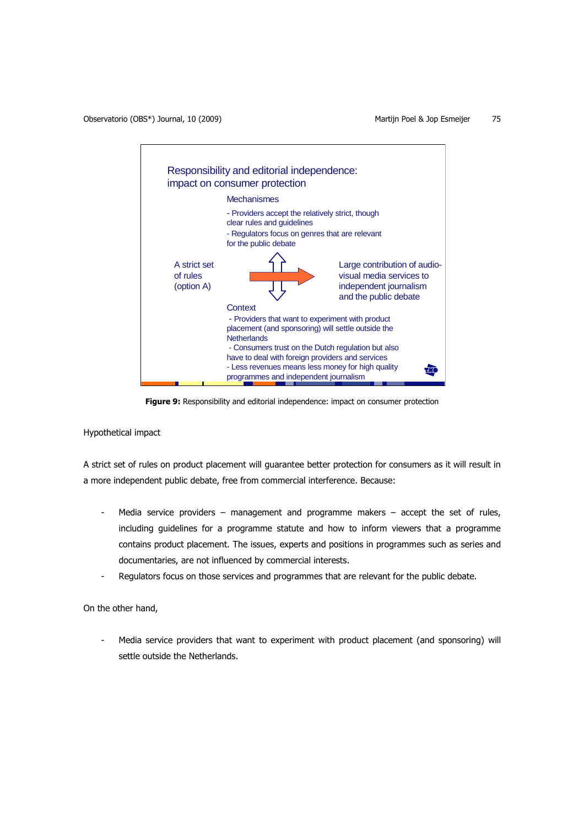

**Figure 9:** Responsibility and editorial independence: impact on consumer protection

Hypothetical impact

A strict set of rules on product placement will guarantee better protection for consumers as it will result in a more independent public debate, free from commercial interference. Because:

- Media service providers management and programme makers accept the set of rules, including guidelines for a programme statute and how to inform viewers that a programme contains product placement. The issues, experts and positions in programmes such as series and documentaries, are not influenced by commercial interests.
- Regulators focus on those services and programmes that are relevant for the public debate.

On the other hand,

Media service providers that want to experiment with product placement (and sponsoring) will settle outside the Netherlands.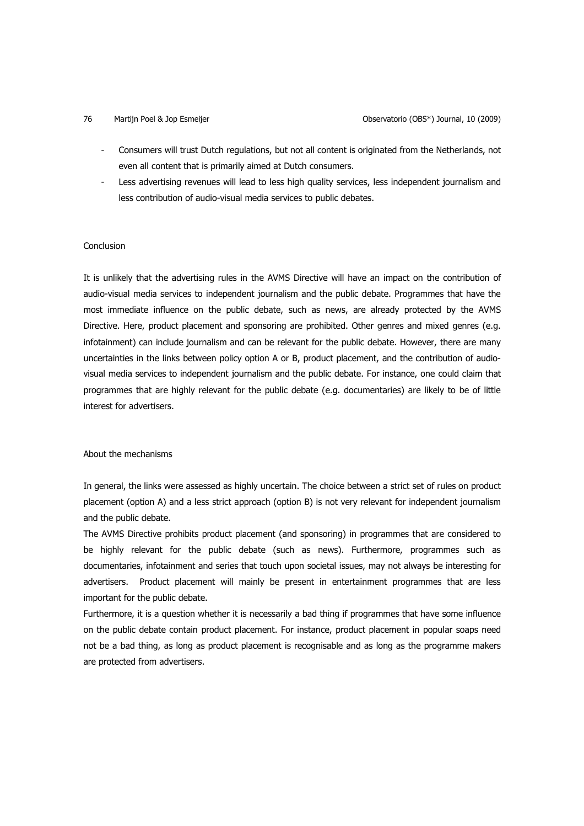- Consumers will trust Dutch regulations, but not all content is originated from the Netherlands, not even all content that is primarily aimed at Dutch consumers.
- Less advertising revenues will lead to less high quality services, less independent journalism and less contribution of audio-visual media services to public debates.

## Conclusion

It is unlikely that the advertising rules in the AVMS Directive will have an impact on the contribution of audio-visual media services to independent journalism and the public debate. Programmes that have the most immediate influence on the public debate, such as news, are already protected by the AVMS Directive. Here, product placement and sponsoring are prohibited. Other genres and mixed genres (e.g. infotainment) can include journalism and can be relevant for the public debate. However, there are many uncertainties in the links between policy option A or B, product placement, and the contribution of audiovisual media services to independent journalism and the public debate. For instance, one could claim that programmes that are highly relevant for the public debate (e.g. documentaries) are likely to be of little interest for advertisers.

### About the mechanisms

In general, the links were assessed as highly uncertain. The choice between a strict set of rules on product placement (option A) and a less strict approach (option B) is not very relevant for independent journalism and the public debate.

The AVMS Directive prohibits product placement (and sponsoring) in programmes that are considered to be highly relevant for the public debate (such as news). Furthermore, programmes such as documentaries, infotainment and series that touch upon societal issues, may not always be interesting for advertisers. Product placement will mainly be present in entertainment programmes that are less important for the public debate.

Furthermore, it is a question whether it is necessarily a bad thing if programmes that have some influence on the public debate contain product placement. For instance, product placement in popular soaps need not be a bad thing, as long as product placement is recognisable and as long as the programme makers are protected from advertisers.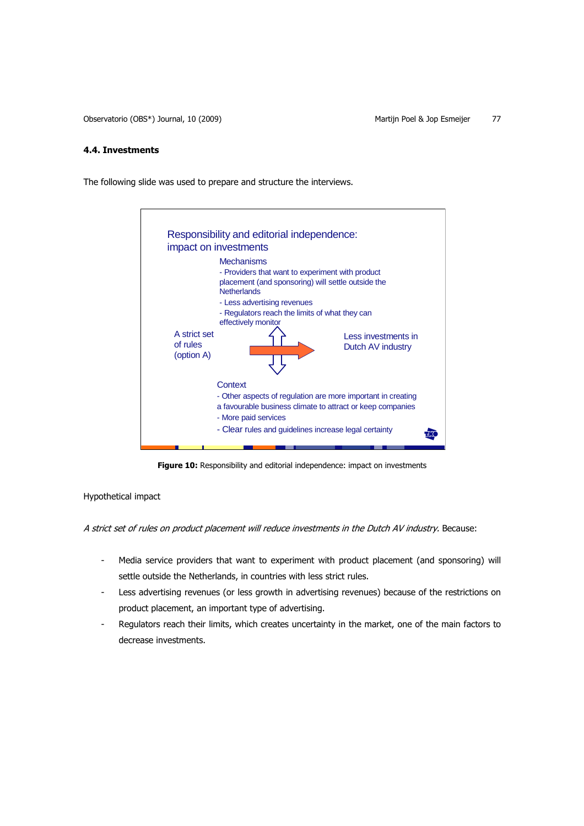## **4.4. Investments**

The following slide was used to prepare and structure the interviews.



**Figure 10:** Responsibility and editorial independence: impact on investments

Hypothetical impact

A strict set of rules on product placement will reduce investments in the Dutch AV industry. Because:

- Media service providers that want to experiment with product placement (and sponsoring) will settle outside the Netherlands, in countries with less strict rules.
- Less advertising revenues (or less growth in advertising revenues) because of the restrictions on product placement, an important type of advertising.
- Regulators reach their limits, which creates uncertainty in the market, one of the main factors to decrease investments.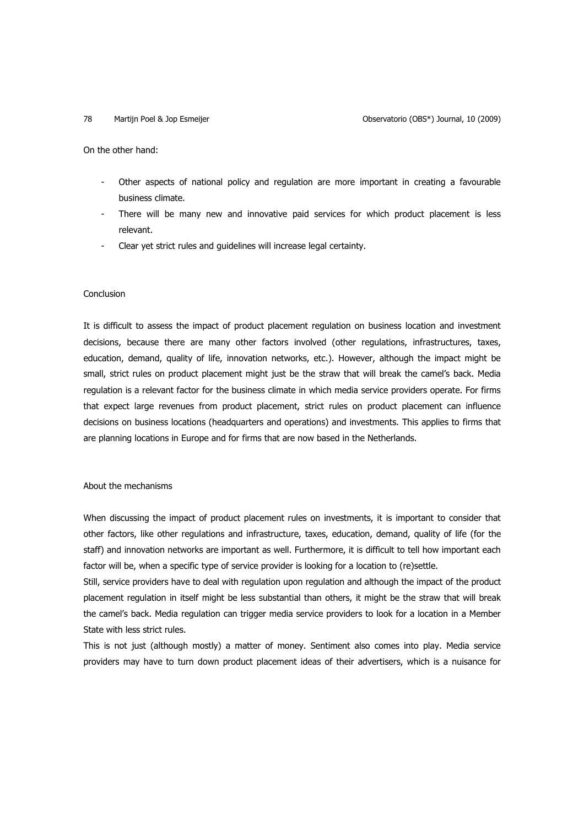On the other hand:

- Other aspects of national policy and regulation are more important in creating a favourable business climate.
- There will be many new and innovative paid services for which product placement is less relevant.
- Clear yet strict rules and guidelines will increase legal certainty.

### Conclusion

It is difficult to assess the impact of product placement regulation on business location and investment decisions, because there are many other factors involved (other regulations, infrastructures, taxes, education, demand, quality of life, innovation networks, etc.). However, although the impact might be small, strict rules on product placement might just be the straw that will break the camel's back. Media regulation is a relevant factor for the business climate in which media service providers operate. For firms that expect large revenues from product placement, strict rules on product placement can influence decisions on business locations (headquarters and operations) and investments. This applies to firms that are planning locations in Europe and for firms that are now based in the Netherlands.

## About the mechanisms

When discussing the impact of product placement rules on investments, it is important to consider that other factors, like other regulations and infrastructure, taxes, education, demand, quality of life (for the staff) and innovation networks are important as well. Furthermore, it is difficult to tell how important each factor will be, when a specific type of service provider is looking for a location to (re)settle.

Still, service providers have to deal with regulation upon regulation and although the impact of the product placement regulation in itself might be less substantial than others, it might be the straw that will break the camel's back. Media regulation can trigger media service providers to look for a location in a Member State with less strict rules.

This is not just (although mostly) a matter of money. Sentiment also comes into play. Media service providers may have to turn down product placement ideas of their advertisers, which is a nuisance for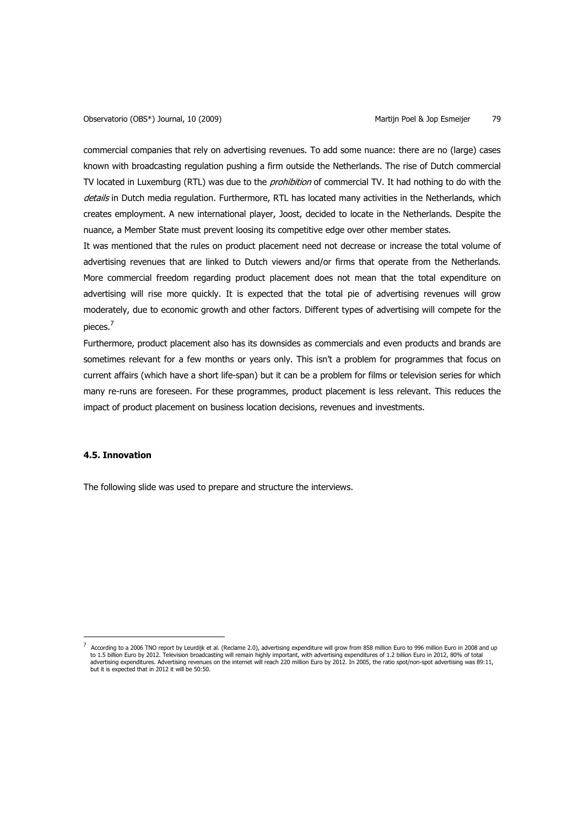commercial companies that rely on advertising revenues. To add some nuance: there are no (large) cases known with broadcasting regulation pushing a firm outside the Netherlands. The rise of Dutch commercial TV located in Luxemburg (RTL) was due to the *prohibition* of commercial TV. It had nothing to do with the details in Dutch media regulation. Furthermore, RTL has located many activities in the Netherlands, which creates employment. A new international player, Joost, decided to locate in the Netherlands. Despite the nuance, a Member State must prevent loosing its competitive edge over other member states.

It was mentioned that the rules on product placement need not decrease or increase the total volume of advertising revenues that are linked to Dutch viewers and/or firms that operate from the Netherlands. More commercial freedom regarding product placement does not mean that the total expenditure on advertising will rise more quickly. It is expected that the total pie of advertising revenues will grow moderately, due to economic growth and other factors. Different types of advertising will compete for the pieces.<sup>7</sup>

Furthermore, product placement also has its downsides as commercials and even products and brands are sometimes relevant for a few months or years only. This isn't a problem for programmes that focus on current affairs (which have a short life-span) but it can be a problem for films or television series for which many re-runs are foreseen. For these programmes, product placement is less relevant. This reduces the impact of product placement on business location decisions, revenues and investments.

## **4.5. Innovation**

 $\overline{a}$ 

The following slide was used to prepare and structure the interviews.

<sup>7</sup> According to a 2006 TNO report by Leurdijk et al. (Reclame 2.0), advertising expenditure will grow from 858 million Euro to 996 million Euro in 2008 and up to 1.5 billion Euro by 2012. Television broadcasting will remain highly important, with advertising expenditures of 1.2 billion Euro in 2012, 80% of total advertising expenditures. Advertising revenues on the internet will reach 220 million Euro by 2012. In 2005, the ratio spot/non-spot advertising was 89:11, but it is expected that in 2012 it will be 50:50.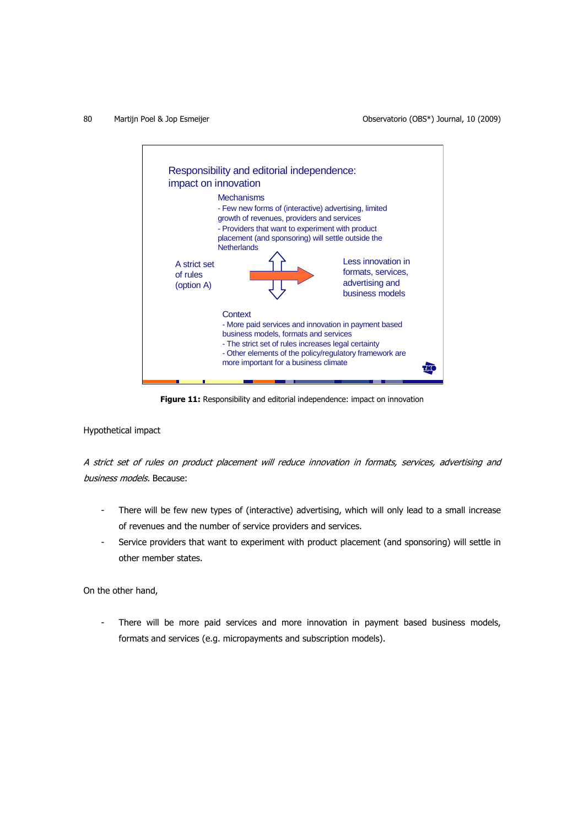

Figure 11: Responsibility and editorial independence: impact on innovation

Hypothetical impact

A strict set of rules on product placement will reduce innovation in formats, services, advertising and business models. Because:

- There will be few new types of (interactive) advertising, which will only lead to a small increase of revenues and the number of service providers and services.
- Service providers that want to experiment with product placement (and sponsoring) will settle in other member states.

On the other hand,

There will be more paid services and more innovation in payment based business models, formats and services (e.g. micropayments and subscription models).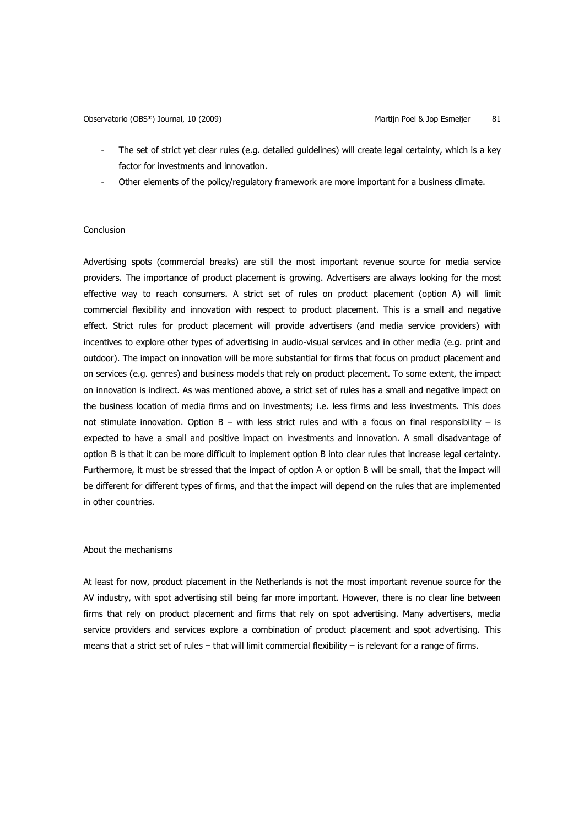- The set of strict yet clear rules (e.g. detailed guidelines) will create legal certainty, which is a key factor for investments and innovation.
- Other elements of the policy/regulatory framework are more important for a business climate.

## **Conclusion**

Advertising spots (commercial breaks) are still the most important revenue source for media service providers. The importance of product placement is growing. Advertisers are always looking for the most effective way to reach consumers. A strict set of rules on product placement (option A) will limit commercial flexibility and innovation with respect to product placement. This is a small and negative effect. Strict rules for product placement will provide advertisers (and media service providers) with incentives to explore other types of advertising in audio-visual services and in other media (e.g. print and outdoor). The impact on innovation will be more substantial for firms that focus on product placement and on services (e.g. genres) and business models that rely on product placement. To some extent, the impact on innovation is indirect. As was mentioned above, a strict set of rules has a small and negative impact on the business location of media firms and on investments; i.e. less firms and less investments. This does not stimulate innovation. Option  $B - with$  less strict rules and with a focus on final responsibility  $-$  is expected to have a small and positive impact on investments and innovation. A small disadvantage of option B is that it can be more difficult to implement option B into clear rules that increase legal certainty. Furthermore, it must be stressed that the impact of option A or option B will be small, that the impact will be different for different types of firms, and that the impact will depend on the rules that are implemented in other countries.

### About the mechanisms

At least for now, product placement in the Netherlands is not the most important revenue source for the AV industry, with spot advertising still being far more important. However, there is no clear line between firms that rely on product placement and firms that rely on spot advertising. Many advertisers, media service providers and services explore a combination of product placement and spot advertising. This means that a strict set of rules – that will limit commercial flexibility – is relevant for a range of firms.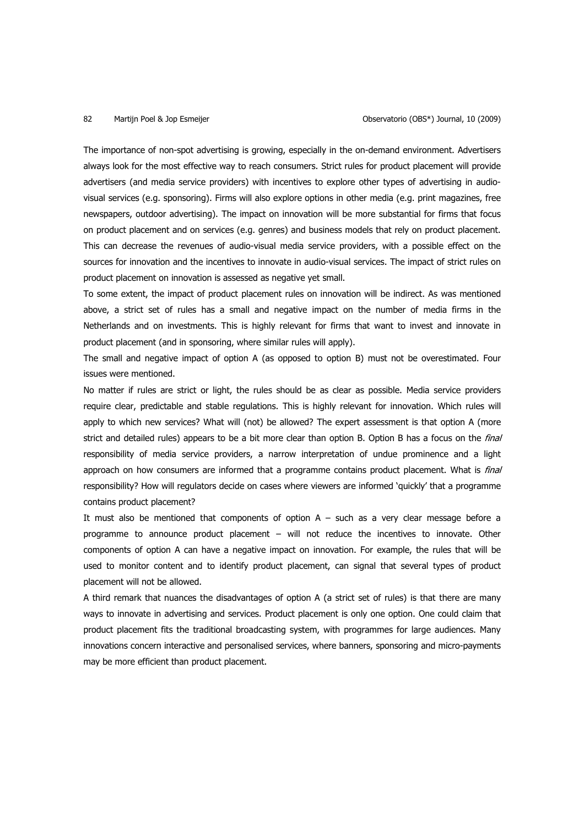The importance of non-spot advertising is growing, especially in the on-demand environment. Advertisers always look for the most effective way to reach consumers. Strict rules for product placement will provide advertisers (and media service providers) with incentives to explore other types of advertising in audiovisual services (e.g. sponsoring). Firms will also explore options in other media (e.g. print magazines, free newspapers, outdoor advertising). The impact on innovation will be more substantial for firms that focus on product placement and on services (e.g. genres) and business models that rely on product placement. This can decrease the revenues of audio-visual media service providers, with a possible effect on the sources for innovation and the incentives to innovate in audio-visual services. The impact of strict rules on product placement on innovation is assessed as negative yet small.

To some extent, the impact of product placement rules on innovation will be indirect. As was mentioned above, a strict set of rules has a small and negative impact on the number of media firms in the Netherlands and on investments. This is highly relevant for firms that want to invest and innovate in product placement (and in sponsoring, where similar rules will apply).

The small and negative impact of option A (as opposed to option B) must not be overestimated. Four issues were mentioned.

No matter if rules are strict or light, the rules should be as clear as possible. Media service providers require clear, predictable and stable regulations. This is highly relevant for innovation. Which rules will apply to which new services? What will (not) be allowed? The expert assessment is that option A (more strict and detailed rules) appears to be a bit more clear than option B. Option B has a focus on the *final* responsibility of media service providers, a narrow interpretation of undue prominence and a light approach on how consumers are informed that a programme contains product placement. What is *final* responsibility? How will regulators decide on cases where viewers are informed 'quickly' that a programme contains product placement?

It must also be mentioned that components of option  $A -$  such as a very clear message before a programme to announce product placement – will not reduce the incentives to innovate. Other components of option A can have a negative impact on innovation. For example, the rules that will be used to monitor content and to identify product placement, can signal that several types of product placement will not be allowed.

A third remark that nuances the disadvantages of option A (a strict set of rules) is that there are many ways to innovate in advertising and services. Product placement is only one option. One could claim that product placement fits the traditional broadcasting system, with programmes for large audiences. Many innovations concern interactive and personalised services, where banners, sponsoring and micro-payments may be more efficient than product placement.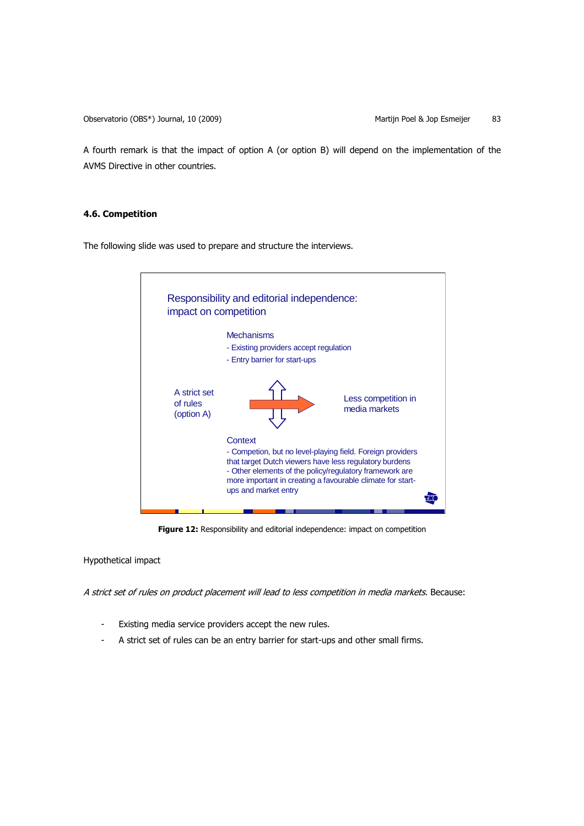A fourth remark is that the impact of option A (or option B) will depend on the implementation of the AVMS Directive in other countries.

## **4.6. Competition**

The following slide was used to prepare and structure the interviews.



**Figure 12:** Responsibility and editorial independence: impact on competition

Hypothetical impact

A strict set of rules on product placement will lead to less competition in media markets. Because:

- Existing media service providers accept the new rules.
- A strict set of rules can be an entry barrier for start-ups and other small firms.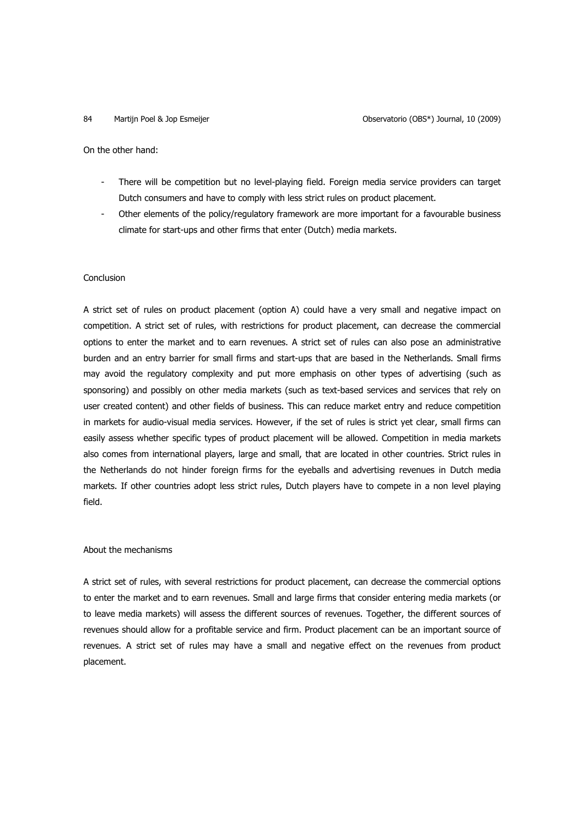On the other hand:

- There will be competition but no level-playing field. Foreign media service providers can target Dutch consumers and have to comply with less strict rules on product placement.
- Other elements of the policy/regulatory framework are more important for a favourable business climate for start-ups and other firms that enter (Dutch) media markets.

## Conclusion

A strict set of rules on product placement (option A) could have a very small and negative impact on competition. A strict set of rules, with restrictions for product placement, can decrease the commercial options to enter the market and to earn revenues. A strict set of rules can also pose an administrative burden and an entry barrier for small firms and start-ups that are based in the Netherlands. Small firms may avoid the regulatory complexity and put more emphasis on other types of advertising (such as sponsoring) and possibly on other media markets (such as text-based services and services that rely on user created content) and other fields of business. This can reduce market entry and reduce competition in markets for audio-visual media services. However, if the set of rules is strict yet clear, small firms can easily assess whether specific types of product placement will be allowed. Competition in media markets also comes from international players, large and small, that are located in other countries. Strict rules in the Netherlands do not hinder foreign firms for the eyeballs and advertising revenues in Dutch media markets. If other countries adopt less strict rules, Dutch players have to compete in a non level playing field.

### About the mechanisms

A strict set of rules, with several restrictions for product placement, can decrease the commercial options to enter the market and to earn revenues. Small and large firms that consider entering media markets (or to leave media markets) will assess the different sources of revenues. Together, the different sources of revenues should allow for a profitable service and firm. Product placement can be an important source of revenues. A strict set of rules may have a small and negative effect on the revenues from product placement.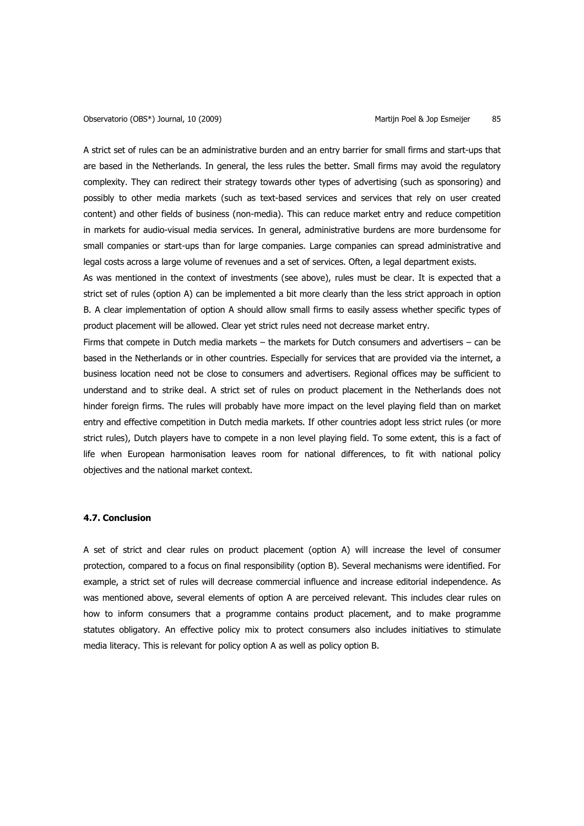A strict set of rules can be an administrative burden and an entry barrier for small firms and start-ups that are based in the Netherlands. In general, the less rules the better. Small firms may avoid the regulatory complexity. They can redirect their strategy towards other types of advertising (such as sponsoring) and possibly to other media markets (such as text-based services and services that rely on user created content) and other fields of business (non-media). This can reduce market entry and reduce competition in markets for audio-visual media services. In general, administrative burdens are more burdensome for small companies or start-ups than for large companies. Large companies can spread administrative and legal costs across a large volume of revenues and a set of services. Often, a legal department exists.

As was mentioned in the context of investments (see above), rules must be clear. It is expected that a strict set of rules (option A) can be implemented a bit more clearly than the less strict approach in option B. A clear implementation of option A should allow small firms to easily assess whether specific types of product placement will be allowed. Clear yet strict rules need not decrease market entry.

Firms that compete in Dutch media markets – the markets for Dutch consumers and advertisers – can be based in the Netherlands or in other countries. Especially for services that are provided via the internet, a business location need not be close to consumers and advertisers. Regional offices may be sufficient to understand and to strike deal. A strict set of rules on product placement in the Netherlands does not hinder foreign firms. The rules will probably have more impact on the level playing field than on market entry and effective competition in Dutch media markets. If other countries adopt less strict rules (or more strict rules), Dutch players have to compete in a non level playing field. To some extent, this is a fact of life when European harmonisation leaves room for national differences, to fit with national policy objectives and the national market context.

### **4.7. Conclusion**

A set of strict and clear rules on product placement (option A) will increase the level of consumer protection, compared to a focus on final responsibility (option B). Several mechanisms were identified. For example, a strict set of rules will decrease commercial influence and increase editorial independence. As was mentioned above, several elements of option A are perceived relevant. This includes clear rules on how to inform consumers that a programme contains product placement, and to make programme statutes obligatory. An effective policy mix to protect consumers also includes initiatives to stimulate media literacy. This is relevant for policy option A as well as policy option B.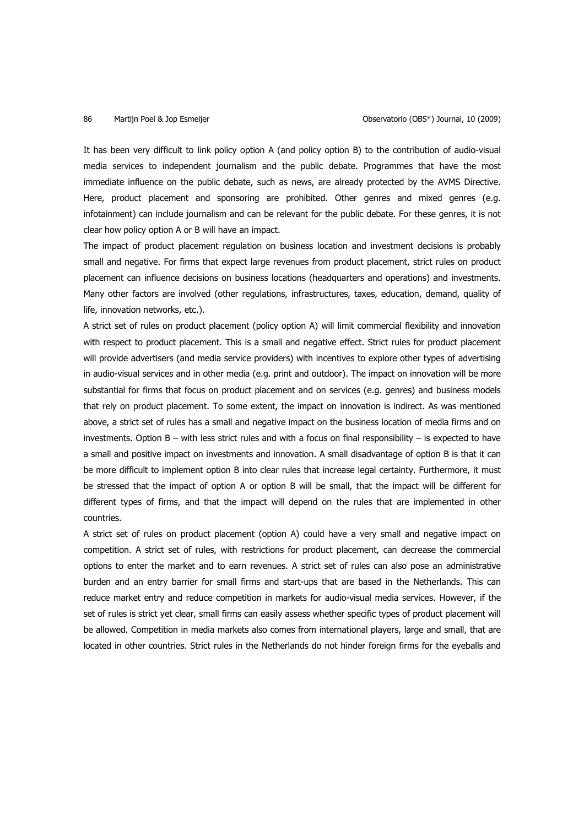It has been very difficult to link policy option A (and policy option B) to the contribution of audio-visual media services to independent journalism and the public debate. Programmes that have the most immediate influence on the public debate, such as news, are already protected by the AVMS Directive. Here, product placement and sponsoring are prohibited. Other genres and mixed genres (e.g. infotainment) can include journalism and can be relevant for the public debate. For these genres, it is not clear how policy option A or B will have an impact.

The impact of product placement regulation on business location and investment decisions is probably small and negative. For firms that expect large revenues from product placement, strict rules on product placement can influence decisions on business locations (headquarters and operations) and investments. Many other factors are involved (other regulations, infrastructures, taxes, education, demand, quality of life, innovation networks, etc.).

A strict set of rules on product placement (policy option A) will limit commercial flexibility and innovation with respect to product placement. This is a small and negative effect. Strict rules for product placement will provide advertisers (and media service providers) with incentives to explore other types of advertising in audio-visual services and in other media (e.g. print and outdoor). The impact on innovation will be more substantial for firms that focus on product placement and on services (e.g. genres) and business models that rely on product placement. To some extent, the impact on innovation is indirect. As was mentioned above, a strict set of rules has a small and negative impact on the business location of media firms and on investments. Option B – with less strict rules and with a focus on final responsibility – is expected to have a small and positive impact on investments and innovation. A small disadvantage of option B is that it can be more difficult to implement option B into clear rules that increase legal certainty. Furthermore, it must be stressed that the impact of option A or option B will be small, that the impact will be different for different types of firms, and that the impact will depend on the rules that are implemented in other countries.

A strict set of rules on product placement (option A) could have a very small and negative impact on competition. A strict set of rules, with restrictions for product placement, can decrease the commercial options to enter the market and to earn revenues. A strict set of rules can also pose an administrative burden and an entry barrier for small firms and start-ups that are based in the Netherlands. This can reduce market entry and reduce competition in markets for audio-visual media services. However, if the set of rules is strict yet clear, small firms can easily assess whether specific types of product placement will be allowed. Competition in media markets also comes from international players, large and small, that are located in other countries. Strict rules in the Netherlands do not hinder foreign firms for the eyeballs and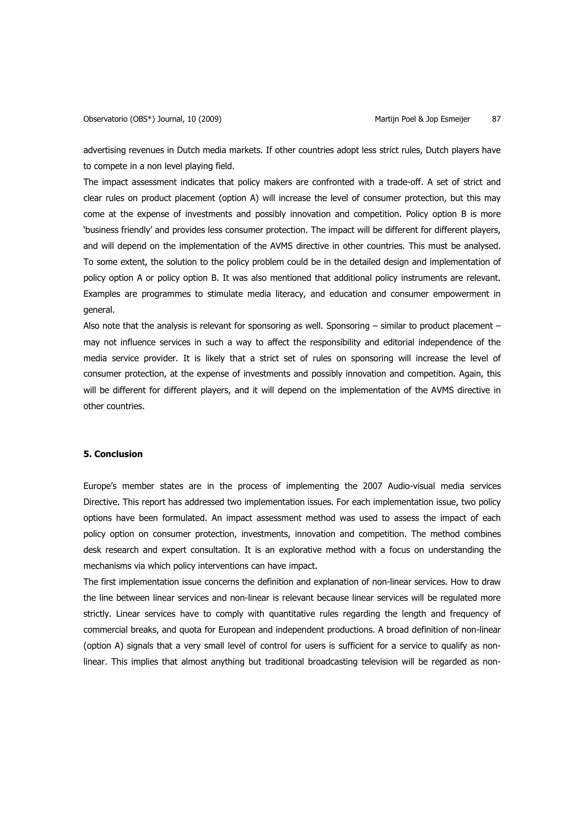advertising revenues in Dutch media markets. If other countries adopt less strict rules, Dutch players have to compete in a non level playing field.

The impact assessment indicates that policy makers are confronted with a trade-off. A set of strict and clear rules on product placement (option A) will increase the level of consumer protection, but this may come at the expense of investments and possibly innovation and competition. Policy option B is more 'business friendly' and provides less consumer protection. The impact will be different for different players, and will depend on the implementation of the AVMS directive in other countries. This must be analysed. To some extent, the solution to the policy problem could be in the detailed design and implementation of policy option A or policy option B. It was also mentioned that additional policy instruments are relevant. Examples are programmes to stimulate media literacy, and education and consumer empowerment in general.

Also note that the analysis is relevant for sponsoring as well. Sponsoring – similar to product placement – may not influence services in such a way to affect the responsibility and editorial independence of the media service provider. It is likely that a strict set of rules on sponsoring will increase the level of consumer protection, at the expense of investments and possibly innovation and competition. Again, this will be different for different players, and it will depend on the implementation of the AVMS directive in other countries.

## **5. Conclusion**

Europe's member states are in the process of implementing the 2007 Audio-visual media services Directive. This report has addressed two implementation issues. For each implementation issue, two policy options have been formulated. An impact assessment method was used to assess the impact of each policy option on consumer protection, investments, innovation and competition. The method combines desk research and expert consultation. It is an explorative method with a focus on understanding the mechanisms via which policy interventions can have impact.

The first implementation issue concerns the definition and explanation of non-linear services. How to draw the line between linear services and non-linear is relevant because linear services will be regulated more strictly. Linear services have to comply with quantitative rules regarding the length and frequency of commercial breaks, and quota for European and independent productions. A broad definition of non-linear (option A) signals that a very small level of control for users is sufficient for a service to qualify as nonlinear. This implies that almost anything but traditional broadcasting television will be regarded as non-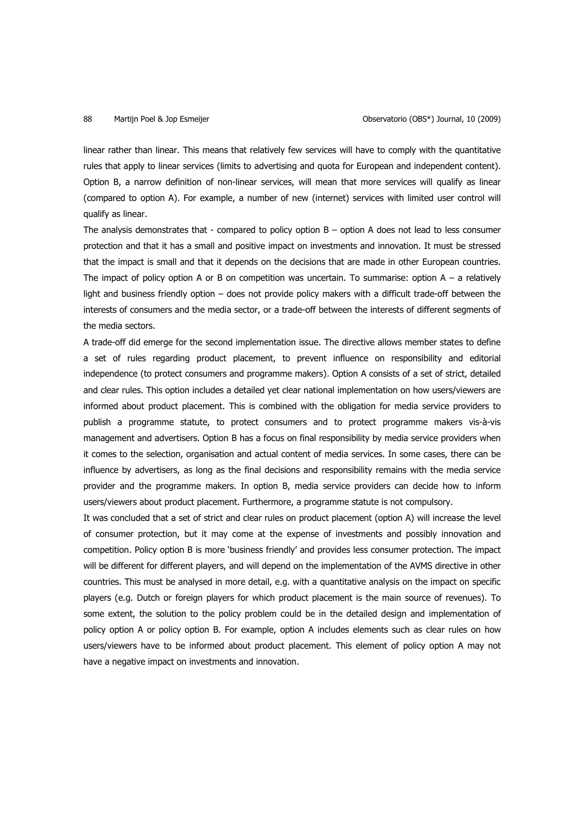linear rather than linear. This means that relatively few services will have to comply with the quantitative rules that apply to linear services (limits to advertising and quota for European and independent content). Option B, a narrow definition of non-linear services, will mean that more services will qualify as linear (compared to option A). For example, a number of new (internet) services with limited user control will qualify as linear.

The analysis demonstrates that - compared to policy option  $B -$  option A does not lead to less consumer protection and that it has a small and positive impact on investments and innovation. It must be stressed that the impact is small and that it depends on the decisions that are made in other European countries. The impact of policy option A or B on competition was uncertain. To summarise: option  $A - a$  relatively light and business friendly option – does not provide policy makers with a difficult trade-off between the interests of consumers and the media sector, or a trade-off between the interests of different segments of the media sectors.

A trade-off did emerge for the second implementation issue. The directive allows member states to define a set of rules regarding product placement, to prevent influence on responsibility and editorial independence (to protect consumers and programme makers). Option A consists of a set of strict, detailed and clear rules. This option includes a detailed yet clear national implementation on how users/viewers are informed about product placement. This is combined with the obligation for media service providers to publish a programme statute, to protect consumers and to protect programme makers vis-à-vis management and advertisers. Option B has a focus on final responsibility by media service providers when it comes to the selection, organisation and actual content of media services. In some cases, there can be influence by advertisers, as long as the final decisions and responsibility remains with the media service provider and the programme makers. In option B, media service providers can decide how to inform users/viewers about product placement. Furthermore, a programme statute is not compulsory.

It was concluded that a set of strict and clear rules on product placement (option A) will increase the level of consumer protection, but it may come at the expense of investments and possibly innovation and competition. Policy option B is more 'business friendly' and provides less consumer protection. The impact will be different for different players, and will depend on the implementation of the AVMS directive in other countries. This must be analysed in more detail, e.g. with a quantitative analysis on the impact on specific players (e.g. Dutch or foreign players for which product placement is the main source of revenues). To some extent, the solution to the policy problem could be in the detailed design and implementation of policy option A or policy option B. For example, option A includes elements such as clear rules on how users/viewers have to be informed about product placement. This element of policy option A may not have a negative impact on investments and innovation.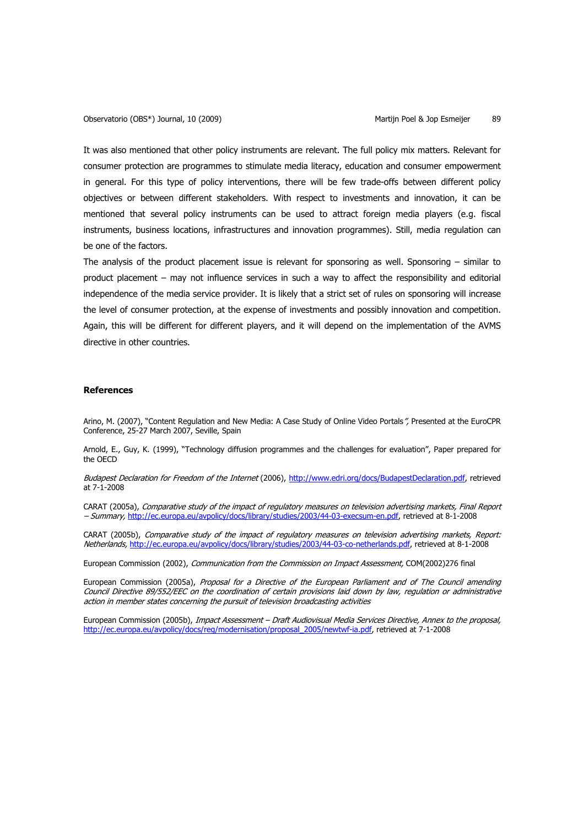It was also mentioned that other policy instruments are relevant. The full policy mix matters. Relevant for consumer protection are programmes to stimulate media literacy, education and consumer empowerment in general. For this type of policy interventions, there will be few trade-offs between different policy objectives or between different stakeholders. With respect to investments and innovation, it can be mentioned that several policy instruments can be used to attract foreign media players (e.g. fiscal instruments, business locations, infrastructures and innovation programmes). Still, media regulation can be one of the factors.

The analysis of the product placement issue is relevant for sponsoring as well. Sponsoring – similar to product placement – may not influence services in such a way to affect the responsibility and editorial independence of the media service provider. It is likely that a strict set of rules on sponsoring will increase the level of consumer protection, at the expense of investments and possibly innovation and competition. Again, this will be different for different players, and it will depend on the implementation of the AVMS directive in other countries.

### **References**

Arino, M. (2007), "Content Regulation and New Media: A Case Study of Online Video Portals", Presented at the EuroCPR Conference, 25-27 March 2007, Seville, Spain

Arnold, E., Guy, K. (1999), "Technology diffusion programmes and the challenges for evaluation", Paper prepared for the OECD

Budapest Declaration for Freedom of the Internet (2006), http://www.edri.org/docs/BudapestDeclaration.pdf, retrieved at 7-1-2008

CARAT (2005a), Comparative study of the impact of regulatory measures on television advertising markets, Final Report – Summary, http://ec.europa.eu/avpolicy/docs/library/studies/2003/44-03-execsum-en.pdf, retrieved at 8-1-2008

CARAT (2005b), Comparative study of the impact of regulatory measures on television advertising markets, Report: Netherlands, http://ec.europa.eu/avpolicy/docs/library/studies/2003/44-03-co-netherlands.pdf, retrieved at 8-1-2008

European Commission (2002), Communication from the Commission on Impact Assessment, COM(2002)276 final

European Commission (2005a), Proposal for a Directive of the European Parliament and of The Council amending Council Directive 89/552/EEC on the coordination of certain provisions laid down by law, regulation or administrative action in member states concerning the pursuit of television broadcasting activities

European Commission (2005b), *Impact Assessment – Draft Audiovisual Media Services Directive, Annex to the proposal*, http://ec.europa.eu/avpolicy/docs/reg/modernisation/proposal\_2005/newtwf-ia.pdf, retrieved at 7-1-2008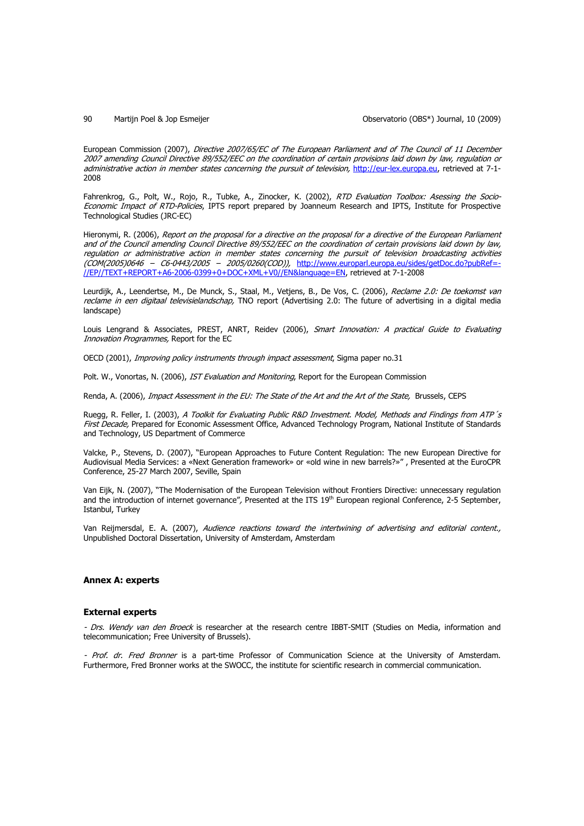### 90 Martijn Poel & Jop Esmeijer Observatorio (OBS\*) Journal, 10 (2009)

European Commission (2007), Directive 2007/65/EC of The European Parliament and of The Council of 11 December 2007 amending Council Directive 89/552/EEC on the coordination of certain provisions laid down by law, regulation or administrative action in member states concerning the pursuit of television, http://eur-lex.europa.eu, retrieved at 7-1-2008

Fahrenkrog, G., Polt, W., Rojo, R., Tubke, A., Zinocker, K. (2002), RTD Evaluation Toolbox: Asessing the Socio-Economic Impact of RTD-Policies, IPTS report prepared by Joanneum Research and IPTS, Institute for Prospective Technological Studies (JRC-EC)

Hieronymi, R. (2006), Report on the proposal for a directive on the proposal for a directive of the European Parliament and of the Council amending Council Directive 89/552/EEC on the coordination of certain provisions laid down by law, regulation or administrative action in member states concerning the pursuit of television broadcasting activities (COM(2005)0646 – C6-0443/2005 – 2005/0260(COD)), http://www.europarl.europa.eu/sides/getDoc.do?pubRef=- //EP//TEXT+REPORT+A6-2006-0399+0+DOC+XML+V0//EN&language=EN, retrieved at 7-1-2008

Leurdijk, A., Leendertse, M., De Munck, S., Staal, M., Vetjens, B., De Vos, C. (2006), Reclame 2.0: De toekomst van reclame in een digitaal televisielandschap, TNO report (Advertising 2.0: The future of advertising in a digital media landscape)

Louis Lengrand & Associates, PREST, ANRT, Reidev (2006), Smart Innovation: A practical Guide to Evaluating Innovation Programmes, Report for the EC

OECD (2001), Improving policy instruments through impact assessment, Sigma paper no.31

Polt. W., Vonortas, N. (2006), IST Evaluation and Monitoring, Report for the European Commission

Renda, A. (2006), Impact Assessment in the EU: The State of the Art and the Art of the State, Brussels, CEPS

Ruegg, R. Feller, I. (2003), A Toolkit for Evaluating Public R&D Investment. Model, Methods and Findings from ATP's First Decade, Prepared for Economic Assessment Office, Advanced Technology Program, National Institute of Standards and Technology, US Department of Commerce

Valcke, P., Stevens, D. (2007), "European Approaches to Future Content Regulation: The new European Directive for Audiovisual Media Services: a «Next Generation framework» or «old wine in new barrels?»" , Presented at the EuroCPR Conference, 25-27 March 2007, Seville, Spain

Van Eijk, N. (2007), "The Modernisation of the European Television without Frontiers Directive: unnecessary regulation and the introduction of internet governance", Presented at the ITS 19<sup>th</sup> European regional Conference, 2-5 September, Istanbul, Turkey

Van Reijmersdal, E. A. (2007), Audience reactions toward the intertwining of advertising and editorial content., Unpublished Doctoral Dissertation, University of Amsterdam, Amsterdam

### **Annex A: experts**

### **External experts**

- Drs. Wendy van den Broeck is researcher at the research centre IBBT-SMIT (Studies on Media, information and telecommunication; Free University of Brussels).

- Prof. dr. Fred Bronner is a part-time Professor of Communication Science at the University of Amsterdam. Furthermore, Fred Bronner works at the SWOCC, the institute for scientific research in commercial communication.